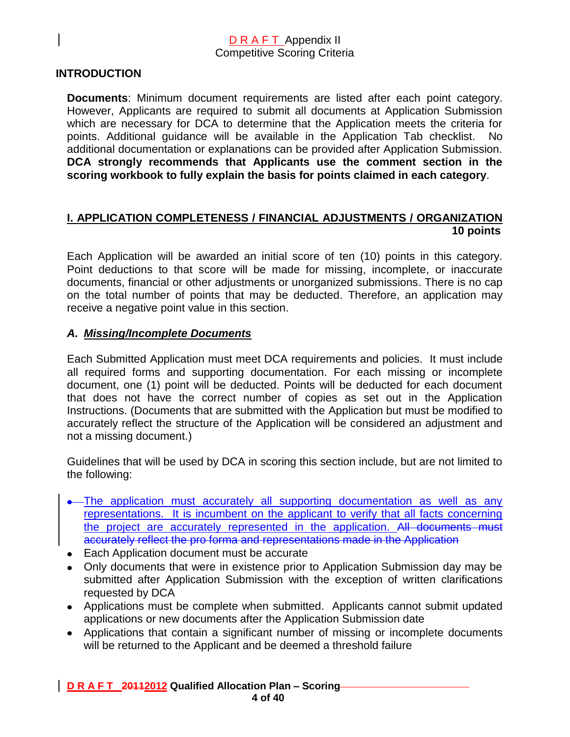### **INTRODUCTION**

**Documents**: Minimum document requirements are listed after each point category. However, Applicants are required to submit all documents at Application Submission which are necessary for DCA to determine that the Application meets the criteria for points. Additional guidance will be available in the Application Tab checklist. No additional documentation or explanations can be provided after Application Submission. **DCA strongly recommends that Applicants use the comment section in the scoring workbook to fully explain the basis for points claimed in each category**.

### **I. APPLICATION COMPLETENESS / FINANCIAL ADJUSTMENTS / ORGANIZATION 10 points**

Each Application will be awarded an initial score of ten (10) points in this category. Point deductions to that score will be made for missing, incomplete, or inaccurate documents, financial or other adjustments or unorganized submissions. There is no cap on the total number of points that may be deducted. Therefore, an application may receive a negative point value in this section.

### *A. Missing/Incomplete Documents*

Each Submitted Application must meet DCA requirements and policies. It must include all required forms and supporting documentation. For each missing or incomplete document, one (1) point will be deducted. Points will be deducted for each document that does not have the correct number of copies as set out in the Application Instructions. (Documents that are submitted with the Application but must be modified to accurately reflect the structure of the Application will be considered an adjustment and not a missing document.)

Guidelines that will be used by DCA in scoring this section include, but are not limited to the following:

- The application must accurately all supporting documentation as well as any representations. It is incumbent on the applicant to verify that all facts concerning the project are accurately represented in the application. All documents must accurately reflect the pro forma and representations made in the Application
- Each Application document must be accurate
- Only documents that were in existence prior to Application Submission day may be submitted after Application Submission with the exception of written clarifications requested by DCA
- Applications must be complete when submitted. Applicants cannot submit updated applications or new documents after the Application Submission date
- Applications that contain a significant number of missing or incomplete documents will be returned to the Applicant and be deemed a threshold failure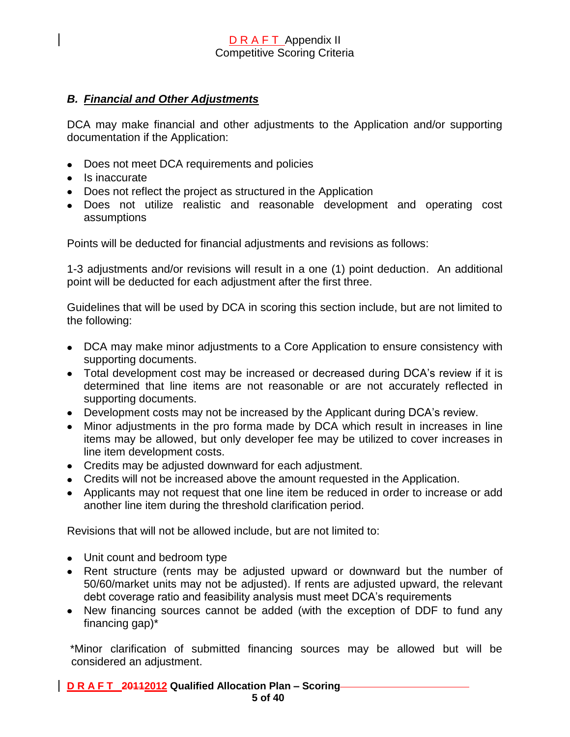### *B. Financial and Other Adjustments*

DCA may make financial and other adjustments to the Application and/or supporting documentation if the Application:

- Does not meet DCA requirements and policies
- Is inaccurate
- Does not reflect the project as structured in the Application
- Does not utilize realistic and reasonable development and operating cost assumptions

Points will be deducted for financial adjustments and revisions as follows:

1-3 adjustments and/or revisions will result in a one (1) point deduction. An additional point will be deducted for each adjustment after the first three.

Guidelines that will be used by DCA in scoring this section include, but are not limited to the following:

- DCA may make minor adjustments to a Core Application to ensure consistency with supporting documents.
- Total development cost may be increased or decreased during DCA's review if it is determined that line items are not reasonable or are not accurately reflected in supporting documents.
- Development costs may not be increased by the Applicant during DCA's review.
- Minor adjustments in the pro forma made by DCA which result in increases in line items may be allowed, but only developer fee may be utilized to cover increases in line item development costs.
- Credits may be adjusted downward for each adjustment.
- Credits will not be increased above the amount requested in the Application.
- Applicants may not request that one line item be reduced in order to increase or add another line item during the threshold clarification period.

Revisions that will not be allowed include, but are not limited to:

- Unit count and bedroom type
- Rent structure (rents may be adjusted upward or downward but the number of 50/60/market units may not be adjusted). If rents are adjusted upward, the relevant debt coverage ratio and feasibility analysis must meet DCA's requirements
- New financing sources cannot be added (with the exception of DDF to fund any financing gap)\*

\*Minor clarification of submitted financing sources may be allowed but will be considered an adjustment.

**D R A F T 20112012 Qualified Allocation Plan – Scoring 5 of 40**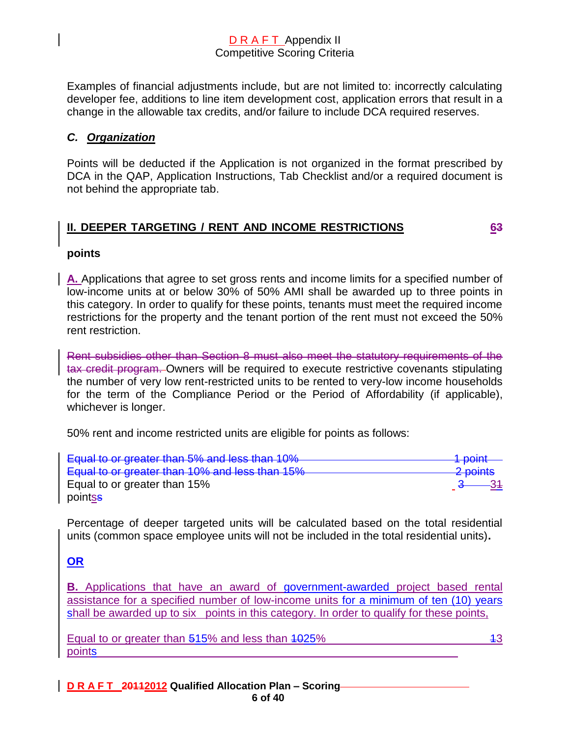Examples of financial adjustments include, but are not limited to: incorrectly calculating developer fee, additions to line item development cost, application errors that result in a change in the allowable tax credits, and/or failure to include DCA required reserves.

### *C. Organization*

Points will be deducted if the Application is not organized in the format prescribed by DCA in the QAP, Application Instructions, Tab Checklist and/or a required document is not behind the appropriate tab.

### **II. DEEPER TARGETING / RENT AND INCOME RESTRICTIONS 63**

### **points**

**A.** Applications that agree to set gross rents and income limits for a specified number of low-income units at or below 30% of 50% AMI shall be awarded up to three points in this category. In order to qualify for these points, tenants must meet the required income restrictions for the property and the tenant portion of the rent must not exceed the 50% rent restriction.

Rent subsidies other than Section 8 must also meet the statutory requirements of the tax credit program. Owners will be required to execute restrictive covenants stipulating the number of very low rent-restricted units to be rented to very-low income households for the term of the Compliance Period or the Period of Affordability (if applicable), whichever is longer.

50% rent and income restricted units are eligible for points as follows:

| Equal to or greater than 5% and less than 10%  | 1 $n$ nint<br><del>n pomit</del> |
|------------------------------------------------|----------------------------------|
| Equal to or greater than 10% and less than 15% | 2 points                         |
| Equal to or greater than 15%                   |                                  |
| pointss                                        |                                  |

Percentage of deeper targeted units will be calculated based on the total residential units (common space employee units will not be included in the total residential units)**.**

### **OR**

**B.** Applications that have an award of government-awarded project based rental assistance for a specified number of low-income units for a minimum of ten (10) years shall be awarded up to six points in this category. In order to qualify for these points,

Equal to or greater than  $515\%$  and less than  $1025\%$  13 points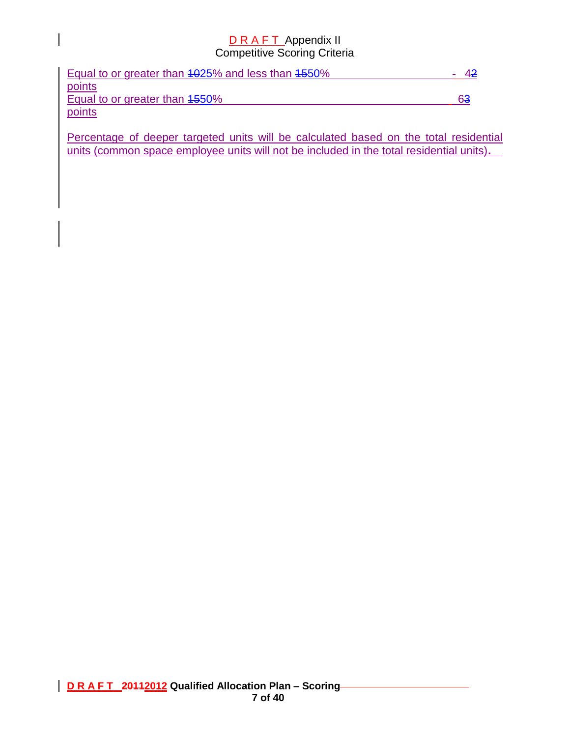| Equal to or greater than 4025% and less than 4550% |    |  |
|----------------------------------------------------|----|--|
| points                                             |    |  |
| Equal to or greater than 4550%                     | 63 |  |
| points                                             |    |  |

Percentage of deeper targeted units will be calculated based on the total residential units (common space employee units will not be included in the total residential units)**.**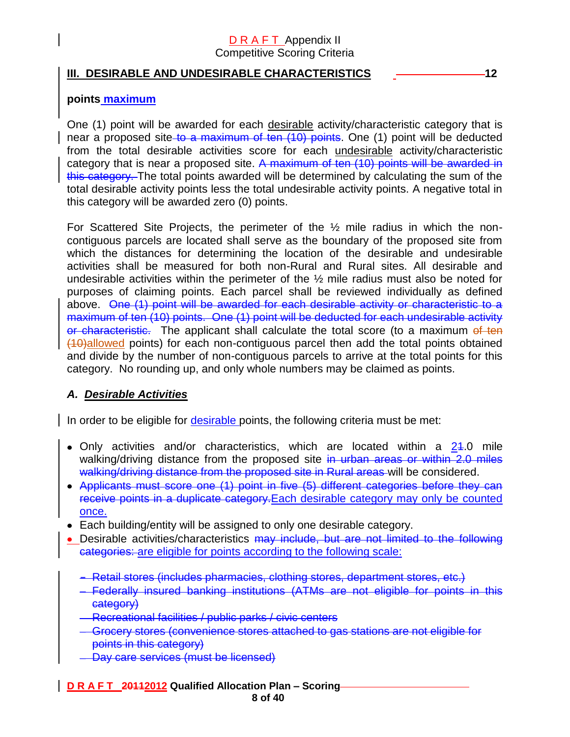### **III. DESIRABLE AND UNDESIRABLE CHARACTERISTICS 42 CHARACTERISTICS**

### **points maximum**

One (1) point will be awarded for each desirable activity/characteristic category that is near a proposed site to a maximum of ten (10) points. One (1) point will be deducted from the total desirable activities score for each undesirable activity/characteristic category that is near a proposed site. A maximum of ten (10) points will be awarded in this category. The total points awarded will be determined by calculating the sum of the total desirable activity points less the total undesirable activity points. A negative total in this category will be awarded zero (0) points.

For Scattered Site Projects, the perimeter of the ½ mile radius in which the noncontiguous parcels are located shall serve as the boundary of the proposed site from which the distances for determining the location of the desirable and undesirable activities shall be measured for both non-Rural and Rural sites. All desirable and undesirable activities within the perimeter of the ½ mile radius must also be noted for purposes of claiming points. Each parcel shall be reviewed individually as defined above. One (1) point will be awarded for each desirable activity or characteristic to a maximum of ten (10) points. One (1) point will be deducted for each undesirable activity or characteristic. The applicant shall calculate the total score (to a maximum of ten (10)allowed points) for each non-contiguous parcel then add the total points obtained and divide by the number of non-contiguous parcels to arrive at the total points for this category. No rounding up, and only whole numbers may be claimed as points.

### *A. Desirable Activities*

In order to be eligible for desirable points, the following criteria must be met:

- Only activities and/or characteristics, which are located within a  $24.0$  mile walking/driving distance from the proposed site in urban areas or within 2.0 miles walking/driving distance from the proposed site in Rural areas will be considered.
- Applicants must score one (1) point in five (5) different categories before they can receive points in a duplicate category.Each desirable category may only be counted once.
- Each building/entity will be assigned to only one desirable category.
- Desirable activities/characteristics may include, but are not limited to the following categories: are eligible for points according to the following scale:
	- **-** Retail stores (includes pharmacies, clothing stores, department stores, etc.)
	- Federally insured banking institutions (ATMs are not eligible for points in this category)
	- Recreational facilities / public parks / civic centers
	- Grocery stores (convenience stores attached to gas stations are not eligible for points in this category)
	- Day care services (must be licensed)

### **D R A F T 20112012 Qualified Allocation Plan – Scoring**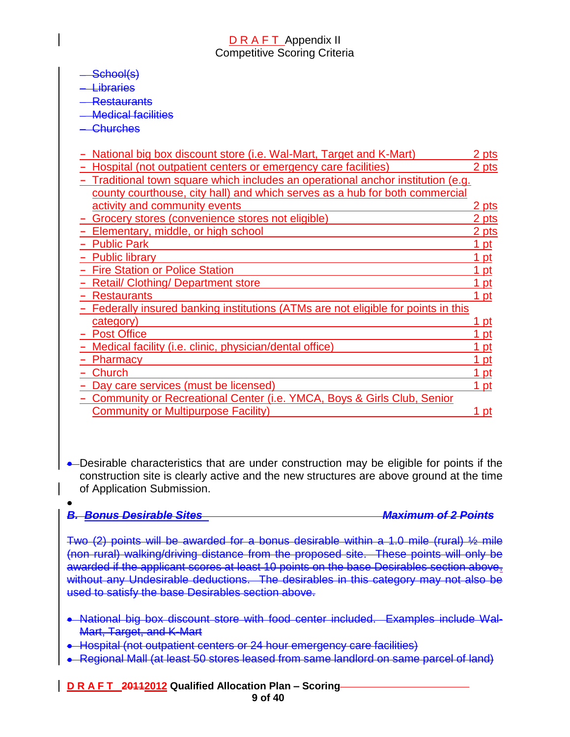### School(s)

**Libraries** 

**Restaurants** 

Medical facilities

**Churches** 

| National big box discount store (i.e. Wal-Mart, Target and K-Mart)               | 2 pts        |
|----------------------------------------------------------------------------------|--------------|
| Hospital (not outpatient centers or emergency care facilities)                   | 2 pts        |
| Traditional town square which includes an operational anchor institution (e.g.   |              |
| county courthouse, city hall) and which serves as a hub for both commercial      |              |
| activity and community events                                                    | 2 pts        |
| Grocery stores (convenience stores not eligible)                                 | 2 pts        |
| Elementary, middle, or high school                                               | 2 pts        |
| <b>Public Park</b>                                                               | 1 pt         |
| <b>Public library</b>                                                            | 1 pt         |
| <b>Fire Station or Police Station</b>                                            | 1 pt         |
| <b>Retail/ Clothing/ Department store</b>                                        | pt           |
| <b>Restaurants</b>                                                               | 1 pt         |
| Federally insured banking institutions (ATMs are not eligible for points in this |              |
| category)                                                                        | pt           |
| <b>Post Office</b>                                                               | pt           |
| Medical facility (i.e. clinic, physician/dental office)                          | 1 pt         |
| <b>Pharmacy</b>                                                                  | <u> 1 pt</u> |
| Church                                                                           | <u> 1 pt</u> |
| Day care services (must be licensed)                                             | 1 pt         |
| Community or Recreational Center (i.e. YMCA, Boys & Girls Club, Senior           |              |
| <b>Community or Multipurpose Facility)</b>                                       | 1 pt         |
|                                                                                  |              |

• Desirable characteristics that are under construction may be eligible for points if the construction site is clearly active and the new structures are above ground at the time of Application Submission.

| <b>- Ronus Desirable Sites</b>                                                                                                                                                                                                                                                                                                                                                                                                         | <u> Maximum of 2 Points</u> |
|----------------------------------------------------------------------------------------------------------------------------------------------------------------------------------------------------------------------------------------------------------------------------------------------------------------------------------------------------------------------------------------------------------------------------------------|-----------------------------|
| Two $(2)$ points will be awarded for a bonus desirable within a 1.0 mile (rural) $\frac{1}{2}$ mile<br>(non rural) walking/driving distance from the proposed site. These points will only be<br>awarded if the applicant scores at least 10 points on the base Desirables section above.<br>without any Undesirable deductions. The desirables in this category may not also be<br>used to satisfy the base Desirables section above. |                             |

- National big box discount store with food center included. Examples include Wal-Mart, Target, and K-Mart
- Hospital (not outpatient centers or 24 hour emergency care facilities)
- Regional Mall (at least 50 stores leased from same landlord on same parcel of land)

### **D R A F T 20112012 Qualified Allocation Plan – Scoring 9 of 40**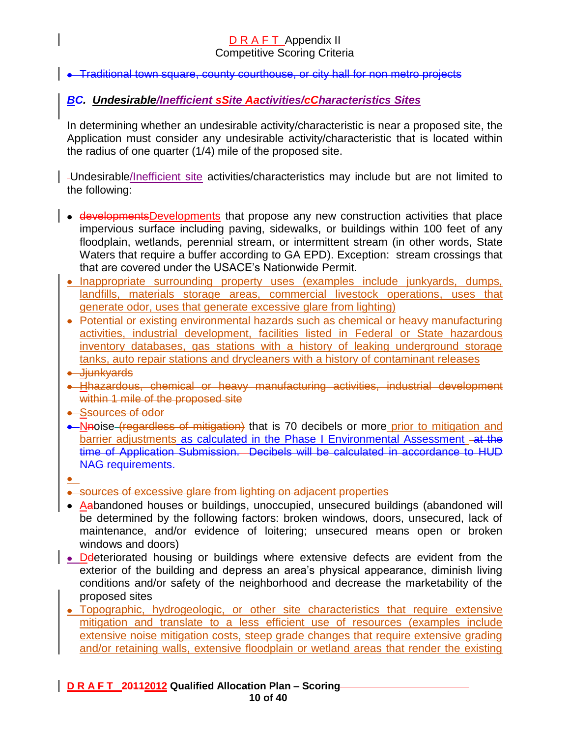• Traditional town square, county courthouse, or city hall for non metro projects

### *BC. Undesirable/Inefficient sSite Aactivities/cCharacteristics Sites*

In determining whether an undesirable activity/characteristic is near a proposed site, the Application must consider any undesirable activity/characteristic that is located within the radius of one quarter (1/4) mile of the proposed site.

Undesirable/Inefficient site activities/characteristics may include but are not limited to the following:

- developmentsDevelopments that propose any new construction activities that place impervious surface including paving, sidewalks, or buildings within 100 feet of any floodplain, wetlands, perennial stream, or intermittent stream (in other words, State Waters that require a buffer according to GA EPD). Exception: stream crossings that that are covered under the USACE's Nationwide Permit.
- Inappropriate surrounding property uses (examples include junkyards, dumps, landfills, materials storage areas, commercial livestock operations, uses that generate odor, uses that generate excessive glare from lighting)
- Potential or existing environmental hazards such as chemical or heavy manufacturing activities, industrial development, facilities listed in Federal or State hazardous inventory databases, gas stations with a history of leaking underground storage tanks, auto repair stations and drycleaners with a history of contaminant releases
- **.** Jjunkyards
- Hhazardous, chemical or heavy manufacturing activities, industrial development within 1 mile of the proposed site
- Ssources of odor
- Nhoise (regardless of mitigation) that is 70 decibels or more prior to mitigation and barrier adjustments as calculated in the Phase I Environmental Assessment -at the time of Application Submission. Decibels will be calculated in accordance to HUD NAG requirements.
- 
- sources of excessive glare from lighting on adjacent properties
- Aabandoned houses or buildings, unoccupied, unsecured buildings (abandoned will be determined by the following factors: broken windows, doors, unsecured, lack of maintenance, and/or evidence of loitering; unsecured means open or broken windows and doors)
- Deteriorated housing or buildings where extensive defects are evident from the exterior of the building and depress an area's physical appearance, diminish living conditions and/or safety of the neighborhood and decrease the marketability of the proposed sites
- Topographic, hydrogeologic, or other site characteristics that require extensive mitigation and translate to a less efficient use of resources (examples include extensive noise mitigation costs, steep grade changes that require extensive grading and/or retaining walls, extensive floodplain or wetland areas that render the existing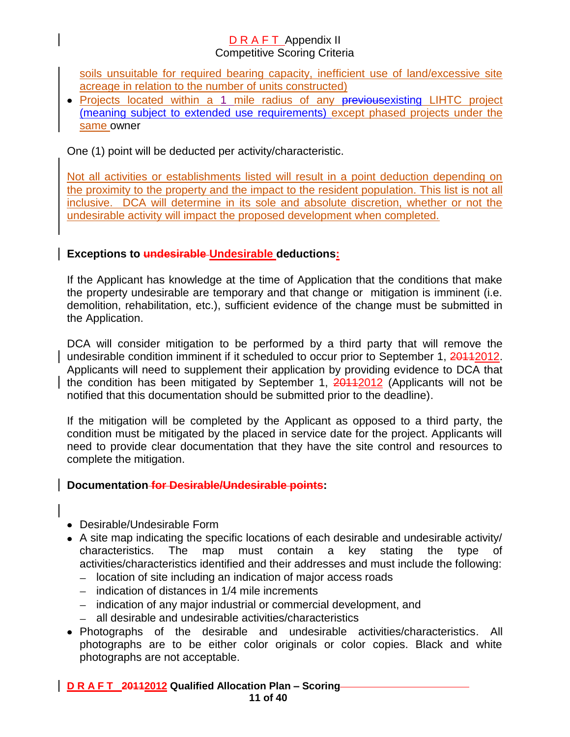soils unsuitable for required bearing capacity, inefficient use of land/excessive site acreage in relation to the number of units constructed)

• Projects located within a 1 mile radius of any previousexisting LIHTC project (meaning subject to extended use requirements) except phased projects under the same owner

One (1) point will be deducted per activity/characteristic.

Not all activities or establishments listed will result in a point deduction depending on the proximity to the property and the impact to the resident population. This list is not all inclusive. DCA will determine in its sole and absolute discretion, whether or not the undesirable activity will impact the proposed development when completed.

# **Exceptions to undesirable Undesirable deductions:**

If the Applicant has knowledge at the time of Application that the conditions that make the property undesirable are temporary and that change or mitigation is imminent (i.e. demolition, rehabilitation, etc.), sufficient evidence of the change must be submitted in the Application.

DCA will consider mitigation to be performed by a third party that will remove the undesirable condition imminent if it scheduled to occur prior to September 1, 20112012. Applicants will need to supplement their application by providing evidence to DCA that the condition has been mitigated by September 1, 20112012 (Applicants will not be notified that this documentation should be submitted prior to the deadline).

If the mitigation will be completed by the Applicant as opposed to a third party, the condition must be mitigated by the placed in service date for the project. Applicants will need to provide clear documentation that they have the site control and resources to complete the mitigation.

# **Documentation for Desirable/Undesirable points:**

- Desirable/Undesirable Form
- A site map indicating the specific locations of each desirable and undesirable activity/ characteristics. The map must contain a key stating the type of activities/characteristics identified and their addresses and must include the following:
	- location of site including an indication of major access roads
	- $-$  indication of distances in 1/4 mile increments
	- indication of any major industrial or commercial development, and
	- $\overline{\phantom{0}}$ all desirable and undesirable activities/characteristics
- Photographs of the desirable and undesirable activities/characteristics. All photographs are to be either color originals or color copies. Black and white photographs are not acceptable.

# **D R A F T 20112012 Qualified Allocation Plan – Scoring**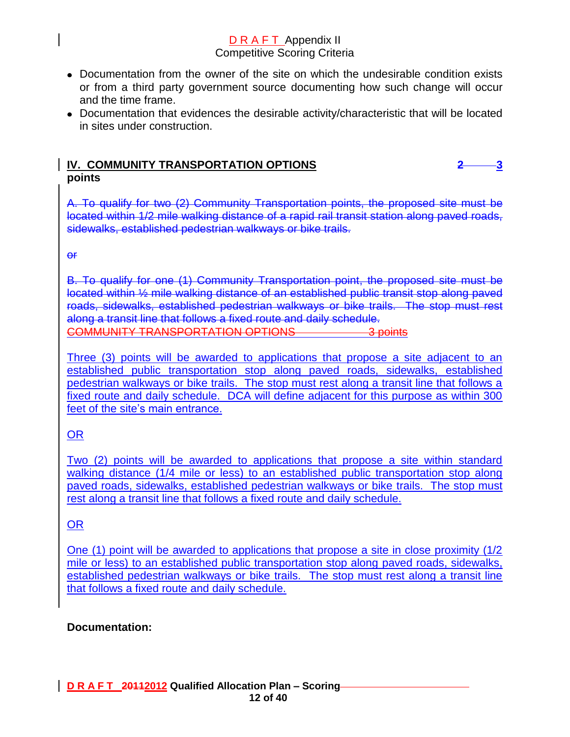- Documentation from the owner of the site on which the undesirable condition exists or from a third party government source documenting how such change will occur and the time frame.
- Documentation that evidences the desirable activity/characteristic that will be located in sites under construction.

### **IV. COMMUNITY TRANSPORTATION OPTIONS****2 3 points**

A. To qualify for two (2) Community Transportation points, the proposed site must be located within 1/2 mile walking distance of a rapid rail transit station along paved roads, sidewalks, established pedestrian walkways or bike trails.

or

B. To qualify for one (1) Community Transportation point, the proposed site must be located within ½ mile walking distance of an established public transit stop along paved roads, sidewalks, established pedestrian walkways or bike trails. The stop must rest along a transit line that follows a fixed route and daily schedule. COMMUNITY TRANSPORTATION OPTIONS 3 points

Three (3) points will be awarded to applications that propose a site adjacent to an established public transportation stop along paved roads, sidewalks, established pedestrian walkways or bike trails. The stop must rest along a transit line that follows a fixed route and daily schedule. DCA will define adjacent for this purpose as within 300 feet of the site's main entrance.

# OR

Two (2) points will be awarded to applications that propose a site within standard walking distance (1/4 mile or less) to an established public transportation stop along paved roads, sidewalks, established pedestrian walkways or bike trails. The stop must rest along a transit line that follows a fixed route and daily schedule.

# OR

One (1) point will be awarded to applications that propose a site in close proximity (1/2 mile or less) to an established public transportation stop along paved roads, sidewalks, established pedestrian walkways or bike trails. The stop must rest along a transit line that follows a fixed route and daily schedule.

# **Documentation:**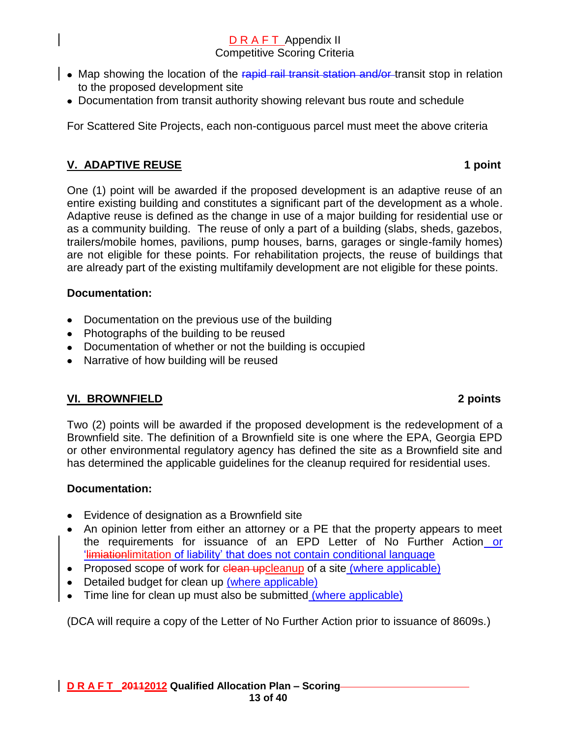- Map showing the location of the rapid rail transit station and/or transit stop in relation to the proposed development site
	- Documentation from transit authority showing relevant bus route and schedule

For Scattered Site Projects, each non-contiguous parcel must meet the above criteria

# **V. ADAPTIVE REUSE 1 point**

One (1) point will be awarded if the proposed development is an adaptive reuse of an entire existing building and constitutes a significant part of the development as a whole. Adaptive reuse is defined as the change in use of a major building for residential use or as a community building. The reuse of only a part of a building (slabs, sheds, gazebos, trailers/mobile homes, pavilions, pump houses, barns, garages or single-family homes) are not eligible for these points. For rehabilitation projects, the reuse of buildings that are already part of the existing multifamily development are not eligible for these points.

### **Documentation:**

- Documentation on the previous use of the building
- Photographs of the building to be reused
- Documentation of whether or not the building is occupied
- Narrative of how building will be reused

# **VI. BROWNFIELD 2 points**

Two (2) points will be awarded if the proposed development is the redevelopment of a Brownfield site. The definition of a Brownfield site is one where the EPA, Georgia EPD or other environmental regulatory agency has defined the site as a Brownfield site and has determined the applicable guidelines for the cleanup required for residential uses.

### **Documentation:**

- Evidence of designation as a Brownfield site
- An opinion letter from either an attorney or a PE that the property appears to meet the requirements for issuance of an EPD Letter of No Further Action or 'limiationlimitation of liability' that does not contain conditional language
- Proposed scope of work for clean upcleanup of a site (where applicable)
- Detailed budget for clean up (where applicable)
- Time line for clean up must also be submitted (where applicable)

(DCA will require a copy of the Letter of No Further Action prior to issuance of 8609s.)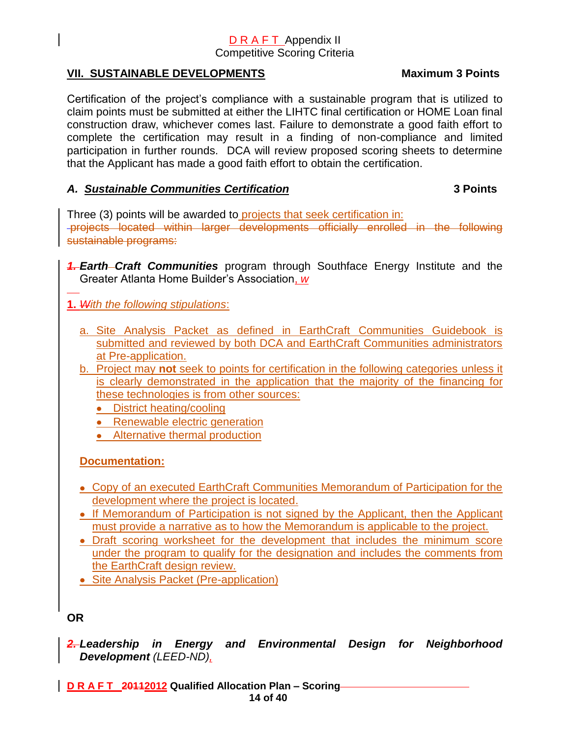### VII. SUSTAINABLE DEVELOPMENTS Maximum 3 Points

Certification of the project's compliance with a sustainable program that is utilized to claim points must be submitted at either the LIHTC final certification or HOME Loan final construction draw, whichever comes last. Failure to demonstrate a good faith effort to complete the certification may result in a finding of non-compliance and limited participation in further rounds. DCA will review proposed scoring sheets to determine that the Applicant has made a good faith effort to obtain the certification.

### *A. Sustainable Communities Certification* **3 Points**

Three (3) points will be awarded to projects that seek certification in: projects located within larger developments officially enrolled in the following sustainable programs:

**4. Earth–Craft Communities** program through Southface Energy Institute and the Greater Atlanta Home Builder's Association, *w*

**1.** *With the following stipulations*:

- a. Site Analysis Packet as defined in EarthCraft Communities Guidebook is submitted and reviewed by both DCA and EarthCraft Communities administrators at Pre-application.
- b. Project may **not** seek to points for certification in the following categories unless it is clearly demonstrated in the application that the majority of the financing for these technologies is from other sources:
	- District heating/cooling
	- Renewable electric generation
	- Alternative thermal production

# **Documentation:**

- Copy of an executed EarthCraft Communities Memorandum of Participation for the development where the project is located.
- If Memorandum of Participation is not signed by the Applicant, then the Applicant must provide a narrative as to how the Memorandum is applicable to the project.
- Draft scoring worksheet for the development that includes the minimum score under the program to qualify for the designation and includes the comments from the EarthCraft design review.
- Site Analysis Packet (Pre-application)

# **OR**

*2. Leadership in Energy and Environmental Design for Neighborhood Development (LEED-ND),*

**D R A F T 20112012 Qualified Allocation Plan – Scoring 14 of 40**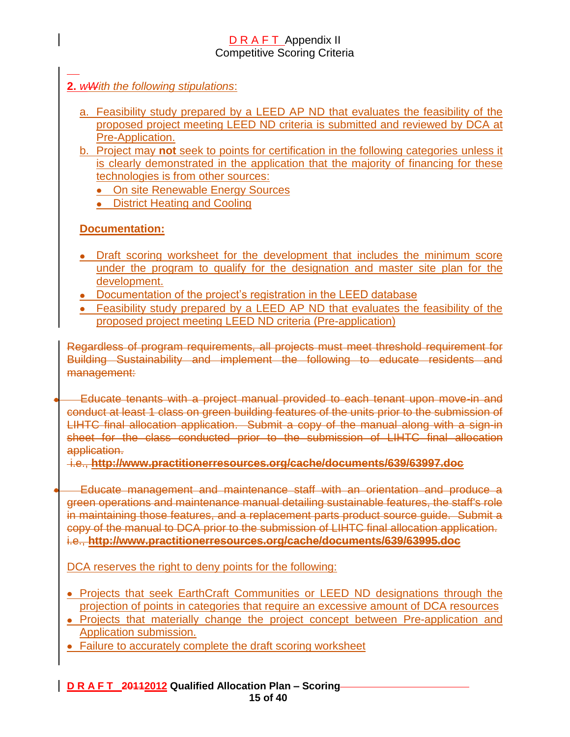# **2.** *wWith the following stipulations*:

- a. Feasibility study prepared by a LEED AP ND that evaluates the feasibility of the proposed project meeting LEED ND criteria is submitted and reviewed by DCA at Pre-Application.
- b. Project may **not** seek to points for certification in the following categories unless it is clearly demonstrated in the application that the majority of financing for these technologies is from other sources:
	- On site Renewable Energy Sources
	- District Heating and Cooling

# **Documentation:**

- Draft scoring worksheet for the development that includes the minimum score under the program to qualify for the designation and master site plan for the development.
- Documentation of the project's registration in the LEED database
- Feasibility study prepared by a LEED AP ND that evaluates the feasibility of the proposed project meeting LEED ND criteria (Pre-application)

Regardless of program requirements, all projects must meet threshold requirement for Building Sustainability and implement the following to educate residents and management:

Educate tenants with a project manual provided to each tenant upon move-in and conduct at least 1 class on green building features of the units prior to the submission of LIHTC final allocation application. Submit a copy of the manual along with a sign-in sheet for the class conducted prior to the submission of LIHTC final allocation application.

i.e., **<http://www.practitionerresources.org/cache/documents/639/63997.doc>**

Educate management and maintenance staff with an orientation and produce a green operations and maintenance manual detailing sustainable features, the staff's role in maintaining those features, and a replacement parts product source guide. Submit a copy of the manual to DCA prior to the submission of LIHTC final allocation application. i.e., **<http://www.practitionerresources.org/cache/documents/639/63995.doc>**

DCA reserves the right to deny points for the following:

- **Projects that seek EarthCraft Communities or LEED ND designations through the** projection of points in categories that require an excessive amount of DCA resources
- Projects that materially change the project concept between Pre-application and Application submission.
- Failure to accurately complete the draft scoring worksheet

### **D R A F T 20112012 Qualified Allocation Plan – Scoring 15 of 40**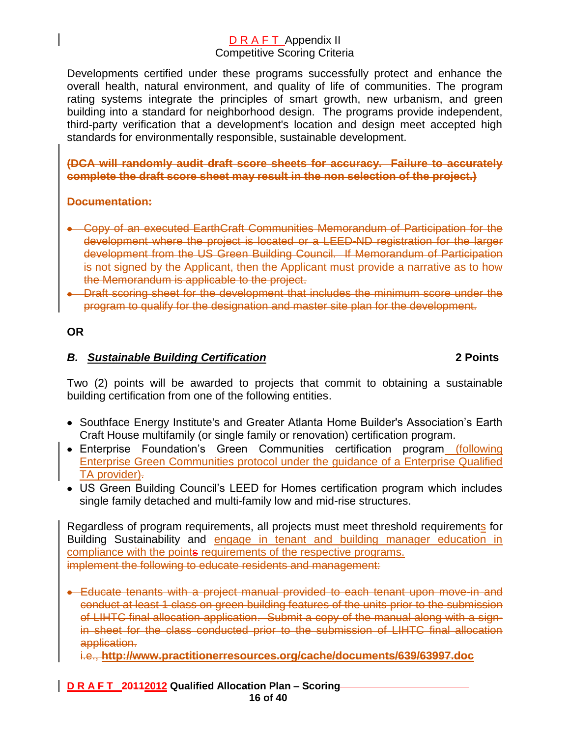Developments certified under these programs successfully protect and enhance the overall health, natural environment, and quality of life of communities. The program rating systems integrate the principles of smart growth, new urbanism, and green building into a standard for neighborhood design. The programs provide independent, third-party verification that a development's location and design meet accepted high standards for environmentally responsible, sustainable development.

**(DCA will randomly audit draft score sheets for accuracy. Failure to accurately complete the draft score sheet may result in the non selection of the project.)**

### **Documentation:**

- Copy of an executed EarthCraft Communities Memorandum of Participation for the development where the project is located or a LEED-ND registration for the larger development from the US Green Building Council. If Memorandum of Participation is not signed by the Applicant, then the Applicant must provide a narrative as to how the Memorandum is applicable to the project.
- **•** Draft scoring sheet for the development that includes the minimum score under the program to qualify for the designation and master site plan for the development.

### **OR**

### *B. Sustainable Building Certification* **2 Points**

Two (2) points will be awarded to projects that commit to obtaining a sustainable building certification from one of the following entities.

- Southface Energy Institute's and Greater Atlanta Home Builder's Association's Earth Craft House multifamily (or single family or renovation) certification program.
- Enterprise Foundation's Green Communities certification program (following Enterprise Green Communities protocol under the guidance of a Enterprise Qualified TA provider).
- US Green Building Council's LEED for Homes certification program which includes single family detached and multi-family low and mid-rise structures.

Regardless of program requirements, all projects must meet threshold requirements for Building Sustainability and engage in tenant and building manager education in compliance with the points requirements of the respective programs. implement the following to educate residents and management:

Educate tenants with a project manual provided to each tenant upon move-in and conduct at least 1 class on green building features of the units prior to the submission of LIHTC final allocation application. Submit a copy of the manual along with a signin sheet for the class conducted prior to the submission of LIHTC final allocation application.

i.e., **<http://www.practitionerresources.org/cache/documents/639/63997.doc>**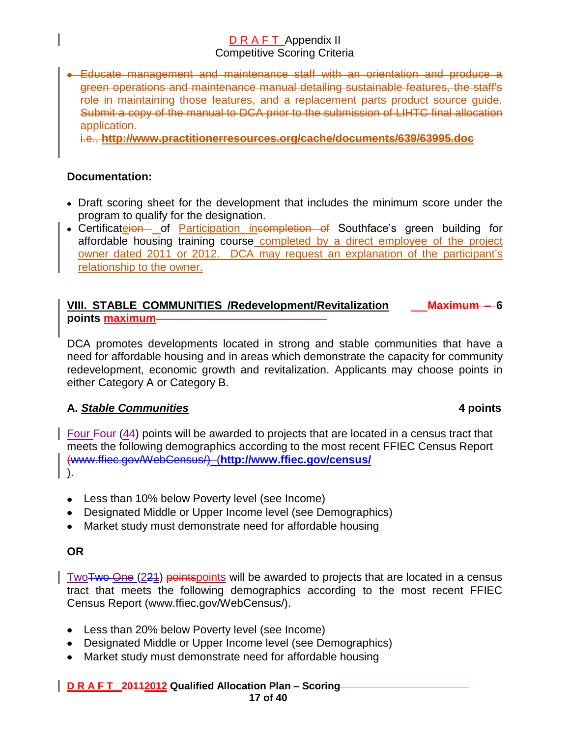Educate management and maintenance staff with an orientation and produce a green operations and maintenance manual detailing sustainable features, the staff's role in maintaining those features, and a replacement parts product source guide. Submit a copy of the manual to DCA prior to the submission of LIHTC final allocation application.

i.e., **<http://www.practitionerresources.org/cache/documents/639/63995.doc>**

### **Documentation:**

- Draft scoring sheet for the development that includes the minimum score under the program to qualify for the designation.
- Certificateion of Participation incompletion of Southface's green building for affordable housing training course completed by a direct employee of the project owner dated 2011 or 2012. DCA may request an explanation of the participant's relationship to the owner.

### **VIII. STABLE COMMUNITIES /Redevelopment/Revitalization Maximum – 6 points maximum**

DCA promotes developments located in strong and stable communities that have a need for affordable housing and in areas which demonstrate the capacity for community redevelopment, economic growth and revitalization. Applicants may choose points in either Category A or Category B.

### **A.** *Stable Communities* **4 points**

Four Four (44) points will be awarded to projects that are located in a census tract that meets the following demographics according to the most recent FFIEC Census Report (www.ffiec.gov/WebCensus/) (**<http://www.ffiec.gov/census/>** ).

- Less than 10% below Poverty level (see Income)
- Designated Middle or Upper Income level (see Demographics)
- Market study must demonstrate need for affordable housing

### **OR**

TwoTwo One (221) pointspoints will be awarded to projects that are located in a census tract that meets the following demographics according to the most recent FFIEC Census Report (www.ffiec.gov/WebCensus/).

- Less than 20% below Poverty level (see Income)
- Designated Middle or Upper Income level (see Demographics)
- Market study must demonstrate need for affordable housing

### **D R A F T 20112012 Qualified Allocation Plan – Scoring 17 of 40**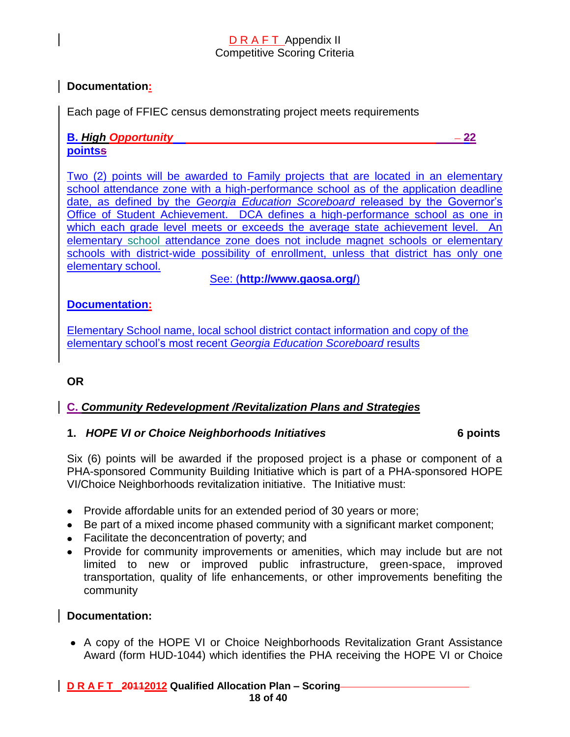### **Documentation:**

Each page of FFIEC census demonstrating project meets requirements

### **B.** *High Opportunity* **22 pointss**

Two (2) points will be awarded to Family projects that are located in an elementary school attendance zone with a high-performance school as of the application deadline date, as defined by the *Georgia Education Scoreboard* released by the Governor's Office of Student Achievement. DCA defines a high-performance school as one in which each grade level meets or exceeds the average state achievement level. An elementary school attendance zone does not include magnet schools or elementary schools with district-wide possibility of enrollment, unless that district has only one elementary school.

See: (**<http://www.gaosa.org/>**)

### **Documentation:**

Elementary School name, local school district contact information and copy of the elementary school's most recent *Georgia Education Scoreboard* results

### **OR**

### **C.** *Community Redevelopment /Revitalization Plans and Strategies*

### **1.** *HOPE VI or Choice Neighborhoods Initiatives* **6 points**

Six (6) points will be awarded if the proposed project is a phase or component of a PHA-sponsored Community Building Initiative which is part of a PHA-sponsored HOPE VI/Choice Neighborhoods revitalization initiative. The Initiative must:

- Provide affordable units for an extended period of 30 years or more;
- Be part of a mixed income phased community with a significant market component;
- Facilitate the deconcentration of poverty; and
- Provide for community improvements or amenities, which may include but are not limited to new or improved public infrastructure, green-space, improved transportation, quality of life enhancements, or other improvements benefiting the community

### **Documentation:**

A copy of the HOPE VI or Choice Neighborhoods Revitalization Grant Assistance Award (form HUD-1044) which identifies the PHA receiving the HOPE VI or Choice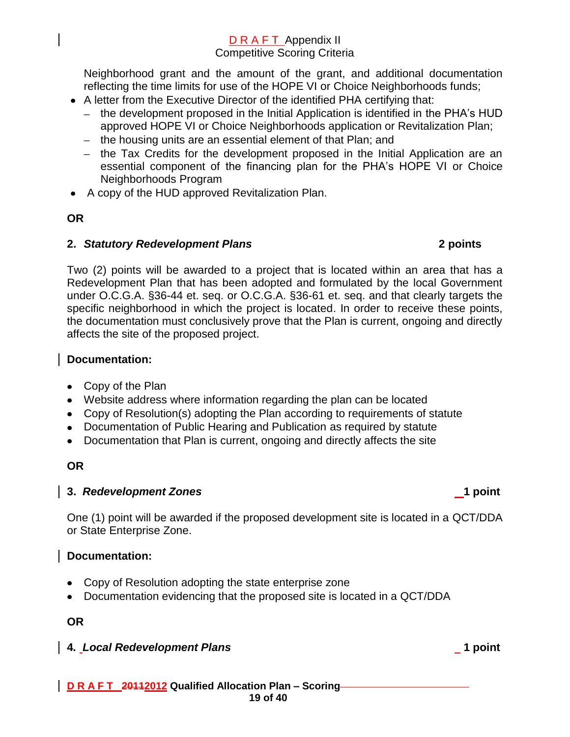Neighborhood grant and the amount of the grant, and additional documentation reflecting the time limits for use of the HOPE VI or Choice Neighborhoods funds;

- A letter from the Executive Director of the identified PHA certifying that:
	- the development proposed in the Initial Application is identified in the PHA's HUD approved HOPE VI or Choice Neighborhoods application or Revitalization Plan;
	- the housing units are an essential element of that Plan; and
	- the Tax Credits for the development proposed in the Initial Application are an essential component of the financing plan for the PHA's HOPE VI or Choice Neighborhoods Program
- A copy of the HUD approved Revitalization Plan.

# **OR**

# **2.** *Statutory Redevelopment Plans* **2 points**

Two (2) points will be awarded to a project that is located within an area that has a Redevelopment Plan that has been adopted and formulated by the local Government under O.C.G.A. §36-44 et. seq. or O.C.G.A. §36-61 et. seq. and that clearly targets the specific neighborhood in which the project is located. In order to receive these points, the documentation must conclusively prove that the Plan is current, ongoing and directly affects the site of the proposed project.

# **Documentation:**

- Copy of the Plan
- Website address where information regarding the plan can be located
- Copy of Resolution(s) adopting the Plan according to requirements of statute
- Documentation of Public Hearing and Publication as required by statute
- Documentation that Plan is current, ongoing and directly affects the site

# **OR**

# **3.** *Redevelopment Zones* **1 point**

One (1) point will be awarded if the proposed development site is located in a QCT/DDA or State Enterprise Zone.

# **Documentation:**

- Copy of Resolution adopting the state enterprise zone
- Documentation evidencing that the proposed site is located in a QCT/DDA

### **OR**

**4***. Local Redevelopment Plans* **1 point**

### **D R A F T 20112012 Qualified Allocation Plan – Scoring 19 of 40**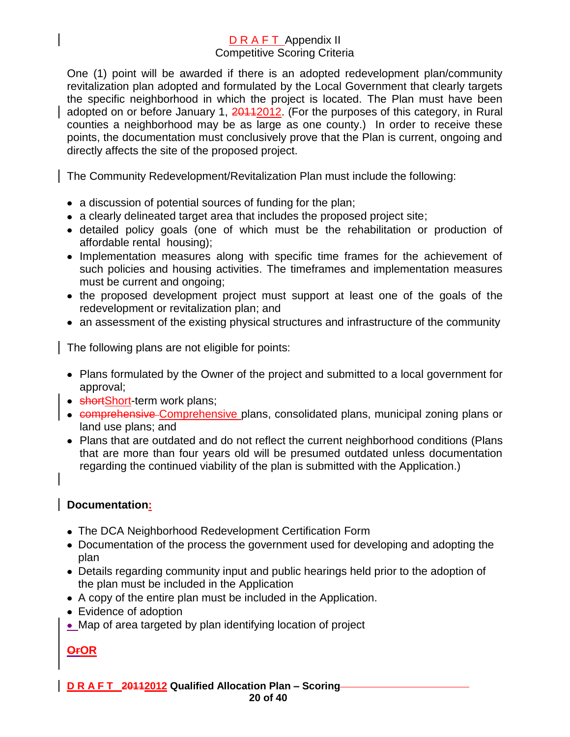One (1) point will be awarded if there is an adopted redevelopment plan/community revitalization plan adopted and formulated by the Local Government that clearly targets the specific neighborhood in which the project is located. The Plan must have been adopted on or before January 1, 20112012. (For the purposes of this category, in Rural counties a neighborhood may be as large as one county.) In order to receive these points, the documentation must conclusively prove that the Plan is current, ongoing and directly affects the site of the proposed project.

The Community Redevelopment/Revitalization Plan must include the following:

- a discussion of potential sources of funding for the plan;
- a clearly delineated target area that includes the proposed project site;
- detailed policy goals (one of which must be the rehabilitation or production of affordable rental housing);
- Implementation measures along with specific time frames for the achievement of such policies and housing activities. The timeframes and implementation measures must be current and ongoing;
- the proposed development project must support at least one of the goals of the redevelopment or revitalization plan; and
- an assessment of the existing physical structures and infrastructure of the community

The following plans are not eligible for points:

- Plans formulated by the Owner of the project and submitted to a local government for approval;
- shortShort-term work plans;
- comprehensive Comprehensive plans, consolidated plans, municipal zoning plans or land use plans; and
- Plans that are outdated and do not reflect the current neighborhood conditions (Plans that are more than four years old will be presumed outdated unless documentation regarding the continued viability of the plan is submitted with the Application.)

### **Documentation:**

- The DCA Neighborhood Redevelopment Certification Form
- Documentation of the process the government used for developing and adopting the plan
- Details regarding community input and public hearings held prior to the adoption of the plan must be included in the Application
- A copy of the entire plan must be included in the Application.
- Evidence of adoption
- Map of area targeted by plan identifying location of project

### **OrOR**

**D R A F T 20112012 Qualified Allocation Plan – Scoring 20 of 40**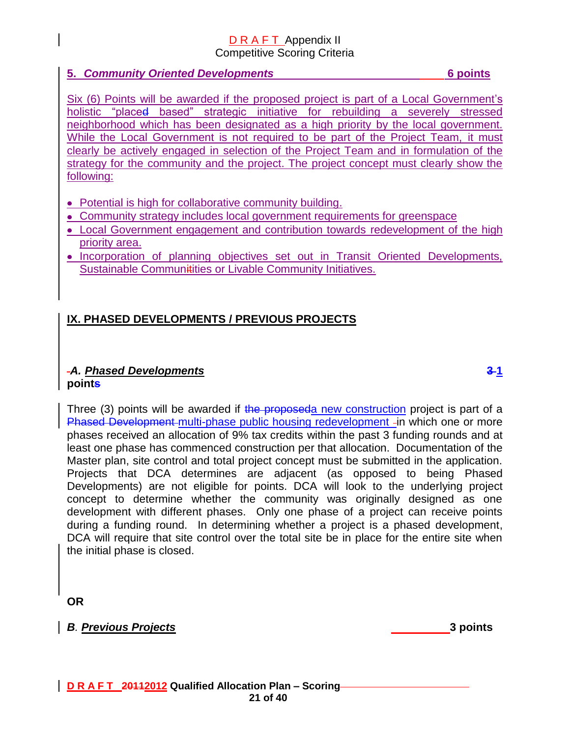### **5.** *Community Oriented Developments* **6 points**

Six (6) Points will be awarded if the proposed project is part of a Local Government's holistic "placed based" strategic initiative for rebuilding a severely stressed neighborhood which has been designated as a high priority by the local government. While the Local Government is not required to be part of the Project Team, it must clearly be actively engaged in selection of the Project Team and in formulation of the strategy for the community and the project. The project concept must clearly show the following:

- Potential is high for collaborative community building.
- Community strategy includes local government requirements for greenspace
- Local Government engagement and contribution towards redevelopment of the high priority area.
- Incorporation of planning objectives set out in Transit Oriented Developments, Sustainable Communitities or Livable Community Initiatives.

# **IX. PHASED DEVELOPMENTS / PREVIOUS PROJECTS**

### *A. Phased Developments* **3 1 points**

Three (3) points will be awarded if the proposeda new construction project is part of a Phased Development multi-phase public housing redevelopment -in which one or more phases received an allocation of 9% tax credits within the past 3 funding rounds and at least one phase has commenced construction per that allocation. Documentation of the Master plan, site control and total project concept must be submitted in the application. Projects that DCA determines are adjacent (as opposed to being Phased Developments) are not eligible for points. DCA will look to the underlying project concept to determine whether the community was originally designed as one development with different phases. Only one phase of a project can receive points during a funding round. In determining whether a project is a phased development, DCA will require that site control over the total site be in place for the entire site when the initial phase is closed.

**OR**

*B. Previous Projects* **3 points**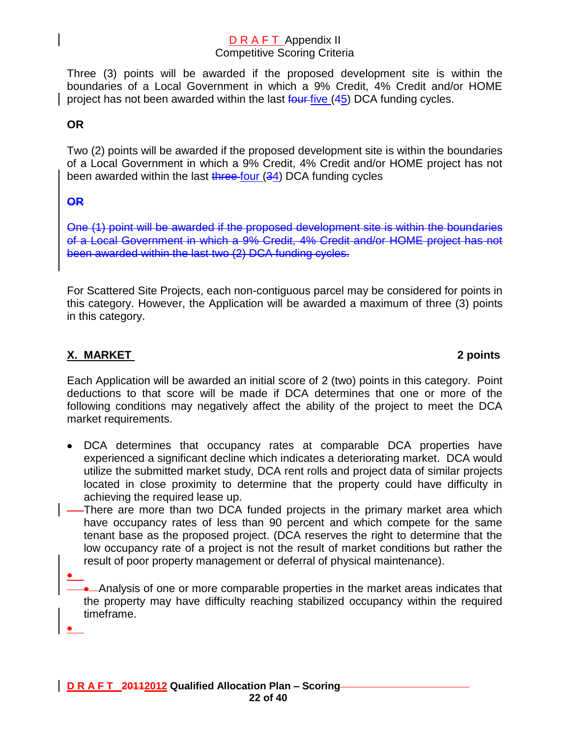Three (3) points will be awarded if the proposed development site is within the boundaries of a Local Government in which a 9% Credit, 4% Credit and/or HOME project has not been awarded within the last  $f_{\text{out}}$  five (45) DCA funding cycles.

# **OR**

Two (2) points will be awarded if the proposed development site is within the boundaries of a Local Government in which a 9% Credit, 4% Credit and/or HOME project has not been awarded within the last  $t$  and the four  $(34)$  DCA funding cycles

### **OR**

One (1) point will be awarded if the proposed development site is within the boundaries of a Local Government in which a 9% Credit, 4% Credit and/or HOME project has not been awarded within the last two (2) DCA funding cycles.

For Scattered Site Projects, each non-contiguous parcel may be considered for points in this category. However, the Application will be awarded a maximum of three (3) points in this category.

# **X. MARKET 2 points**

Each Application will be awarded an initial score of 2 (two) points in this category. Point deductions to that score will be made if DCA determines that one or more of the following conditions may negatively affect the ability of the project to meet the DCA market requirements.

- DCA determines that occupancy rates at comparable DCA properties have experienced a significant decline which indicates a deteriorating market. DCA would utilize the submitted market study, DCA rent rolls and project data of similar projects located in close proximity to determine that the property could have difficulty in achieving the required lease up.
- There are more than two DCA funded projects in the primary market area which have occupancy rates of less than 90 percent and which compete for the same tenant base as the proposed project. (DCA reserves the right to determine that the low occupancy rate of a project is not the result of market conditions but rather the result of poor property management or deferral of physical maintenance).

Analysis of one or more comparable properties in the market areas indicates that the property may have difficulty reaching stabilized occupancy within the required timeframe.

 $\bullet$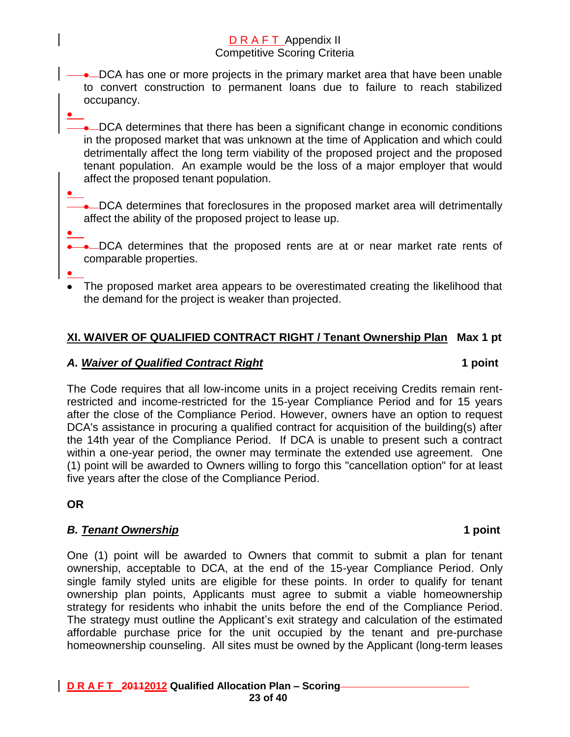**→** DCA has one or more projects in the primary market area that have been unable to convert construction to permanent loans due to failure to reach stabilized occupancy.

• DCA determines that there has been a significant change in economic conditions in the proposed market that was unknown at the time of Application and which could detrimentally affect the long term viability of the proposed project and the proposed tenant population. An example would be the loss of a major employer that would affect the proposed tenant population.

• DCA determines that foreclosures in the proposed market area will detrimentally affect the ability of the proposed project to lease up.

DCA determines that the proposed rents are at or near market rate rents of comparable properties.

The proposed market area appears to be overestimated creating the likelihood that the demand for the project is weaker than projected.

# **XI. WAIVER OF QUALIFIED CONTRACT RIGHT / Tenant Ownership Plan Max 1 pt**

### *A. Waiver of Qualified Contract Right* **1 point**

The Code requires that all low-income units in a project receiving Credits remain rentrestricted and income-restricted for the 15-year Compliance Period and for 15 years after the close of the Compliance Period. However, owners have an option to request DCA's assistance in procuring a qualified contract for acquisition of the building(s) after the 14th year of the Compliance Period. If DCA is unable to present such a contract within a one-year period, the owner may terminate the extended use agreement. One (1) point will be awarded to Owners willing to forgo this "cancellation option" for at least five years after the close of the Compliance Period.

**OR**

### *B. Tenant Ownership* **1 point**

One (1) point will be awarded to Owners that commit to submit a plan for tenant ownership, acceptable to DCA, at the end of the 15-year Compliance Period. Only single family styled units are eligible for these points. In order to qualify for tenant ownership plan points, Applicants must agree to submit a viable homeownership strategy for residents who inhabit the units before the end of the Compliance Period. The strategy must outline the Applicant's exit strategy and calculation of the estimated affordable purchase price for the unit occupied by the tenant and pre-purchase homeownership counseling. All sites must be owned by the Applicant (long-term leases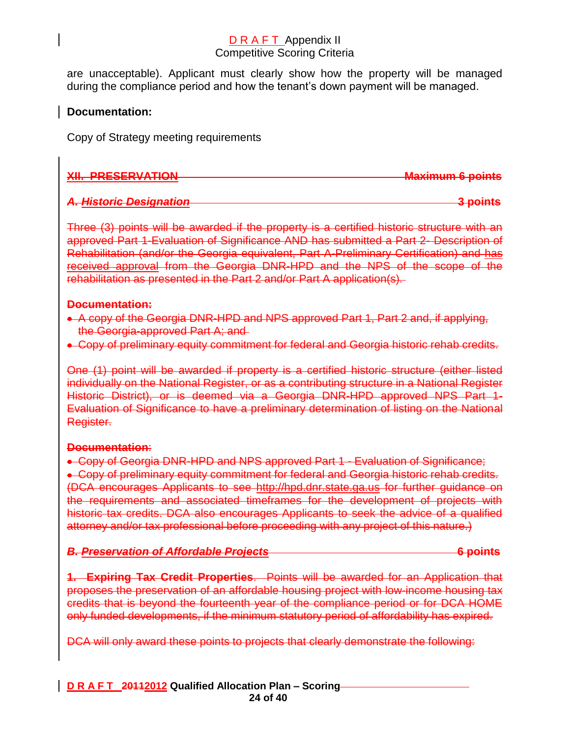are unacceptable). Applicant must clearly show how the property will be managed during the compliance period and how the tenant's down payment will be managed.

### **Documentation:**

Copy of Strategy meeting requirements

| <b>YII DDECEDVATION</b>                                                                                                                                                                                                       | Mavimum 6 nointe  |
|-------------------------------------------------------------------------------------------------------------------------------------------------------------------------------------------------------------------------------|-------------------|
| when the property of the second state of the second state of the second state of the second state of the second state of the second state is a second state of the second state is second to second state in the second state | плампиянт у рунно |
|                                                                                                                                                                                                                               |                   |

### *A. Historic Designation* **3 points**

Three (3) points will be awarded if the property is a certified historic structure with an approved Part 1-Evaluation of Significance AND has submitted a Part 2- Description of Rehabilitation (and/or the Georgia equivalent, Part A-Preliminary Certification) and has received approval from the Georgia DNR-HPD and the NPS of the scope of the rehabilitation as presented in the Part 2 and/or Part A application(s).

### **Documentation:**

- A copy of the Georgia DNR-HPD and NPS approved Part 1, Part 2 and, if applying, the Georgia-approved Part A; and
- Copy of preliminary equity commitment for federal and Georgia historic rehab credits.

One (1) point will be awarded if property is a certified historic structure (either listed individually on the National Register, or as a contributing structure in a National Register Historic District), or is deemed via a Georgia DNR-HPD approved NPS Part 1-Evaluation of Significance to have a preliminary determination of listing on the National Register.

### **Documentation**:

• Copy of Georgia DNR-HPD and NPS approved Part 1 - Evaluation of Significance; Copy of preliminary equity commitment for federal and Georgia historic rehab credits. (DCA encourages Applicants to see [http://hpd.dnr.state.ga.us](http://hpd.dnr.state.ga.us/) for further guidance on the requirements and associated timeframes for the development of projects with historic tax credits. DCA also encourages Applicants to seek the advice of a qualified attorney and/or tax professional before proceeding with any project of this nature.)

| <b>B. Preservation of Affordable Projects</b> | <b>E</b> nointe |
|-----------------------------------------------|-----------------|
| <u> DA TUSU VANUT ULAHULAMUDI TIULUUS </u>    | <u>v vune</u>   |

**1. Expiring Tax Credit Properties**. Points will be awarded for an Application that proposes the preservation of an affordable housing project with low-income housing tax credits that is beyond the fourteenth year of the compliance period or for DCA HOME only funded developments, if the minimum statutory period of affordability has expired.

DCA will only award these points to projects that clearly demonstrate the following: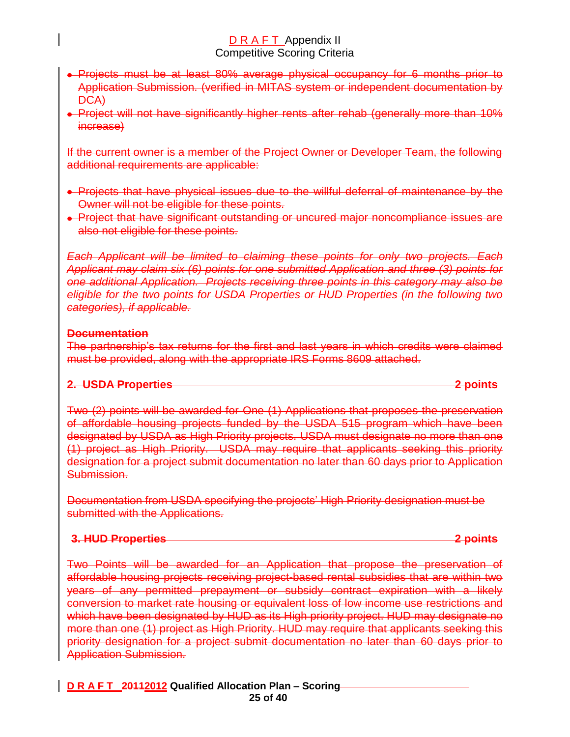- Projects must be at least 80% average physical occupancy for 6 months prior to Application Submission. (verified in MITAS system or independent documentation by DCA)
- Project will not have significantly higher rents after rehab (generally more than 10% increase)

If the current owner is a member of the Project Owner or Developer Team, the following additional requirements are applicable:

- Projects that have physical issues due to the willful deferral of maintenance by the Owner will not be eligible for these points.
- Project that have significant outstanding or uncured major noncompliance issues are also not eligible for these points.

*Each Applicant will be limited to claiming these points for only two projects. Each Applicant may claim six (6) points for one submitted Application and three (3) points for one additional Application. Projects receiving three points in this category may also be eligible for the two points for USDA Properties or HUD Properties (in the following two categories), if applicable.* 

### **Documentation**

The partnership's tax returns for the first and last years in which credits were claimed must be provided, along with the appropriate IRS Forms 8609 attached.

### **2. USDA Properties 2 points**

Two (2) points will be awarded for One (1) Applications that proposes the preservation of affordable housing projects funded by the USDA 515 program which have been designated by USDA as High Priority projects. USDA must designate no more than one (1) project as High Priority. USDA may require that applicants seeking this priority designation for a project submit documentation no later than 60 days prior to Application Submission.

Documentation from USDA specifying the projects' High Priority designation must be submitted with the Applications.

### **3. HUD Properties 2 points**

Two Points will be awarded for an Application that propose the preservation of affordable housing projects receiving project-based rental subsidies that are within two years of any permitted prepayment or subsidy contract expiration with a likely conversion to market rate housing or equivalent loss of low income use restrictions and which have been designated by HUD as its High priority project. HUD may designate no more than one (1) project as High Priority. HUD may require that applicants seeking this priority designation for a project submit documentation no later than 60 days prior to Application Submission.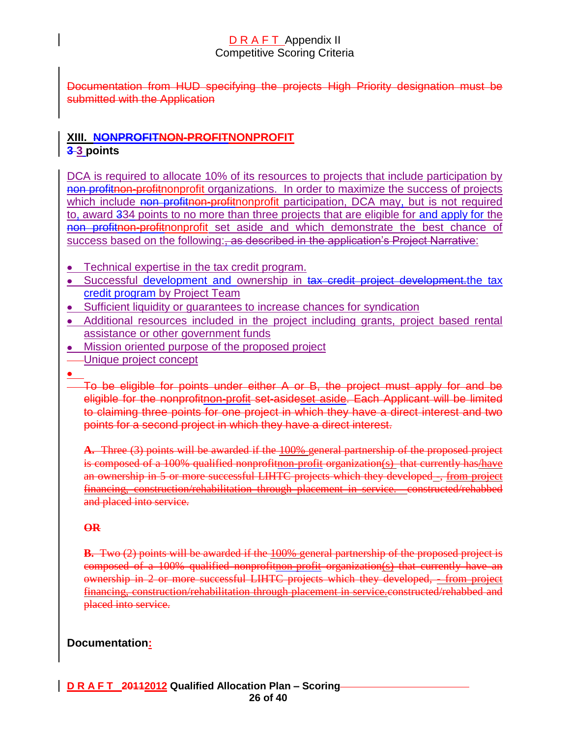Documentation from HUD specifying the projects High Priority designation must be submitted with the Application

# **XIII. NONPROFITNON-PROFITNONPROFIT 3 3 points**

DCA is required to allocate 10% of its resources to projects that include participation by non profitnon-profitnonprofit organizations. In order to maximize the success of projects which include non profitnon-profitnonprofit participation, DCA may, but is not required to, award 334 points to no more than three projects that are eligible for and apply for the non profitnon-profitnonprofit set aside and which demonstrate the best chance of success based on the following:, as described in the application's Project Narrative:

- Technical expertise in the tax credit program.
- Successful development and ownership in tax credit project development.the tax credit program by Project Team
- Sufficient liquidity or guarantees to increase chances for syndication
- Additional resources included in the project including grants, project based rental assistance or other government funds
- Mission oriented purpose of the proposed project
- Unique project concept
- 

To be eligible for points under either A or B, the project must apply for and be eligible for the nonprofitnon-profit set-asideset aside. Each Applicant will be limited to claiming three points for one project in which they have a direct interest and two points for a second project in which they have a direct interest.

**A.** Three (3) points will be awarded if the 100% general partnership of the proposed project is composed of a 100% qualified nonprofitnon-profit organization(s) that currently has/have an ownership in 5 or more successful LIHTC projects which they developed -, from project financing, construction/rehabilitation through placement in service. constructed/rehabbed and placed into service.

### **OR**

**B.** Two (2) points will be awarded if the 100% general partnership of the proposed project is composed of a 100% qualified nonprofitnon-profit organization(s) that currently have an ownership in 2 or more successful LIHTC projects which they developed, - from project financing, construction/rehabilitation through placement in service.constructed/rehabbed and placed into service.

### **Documentation:**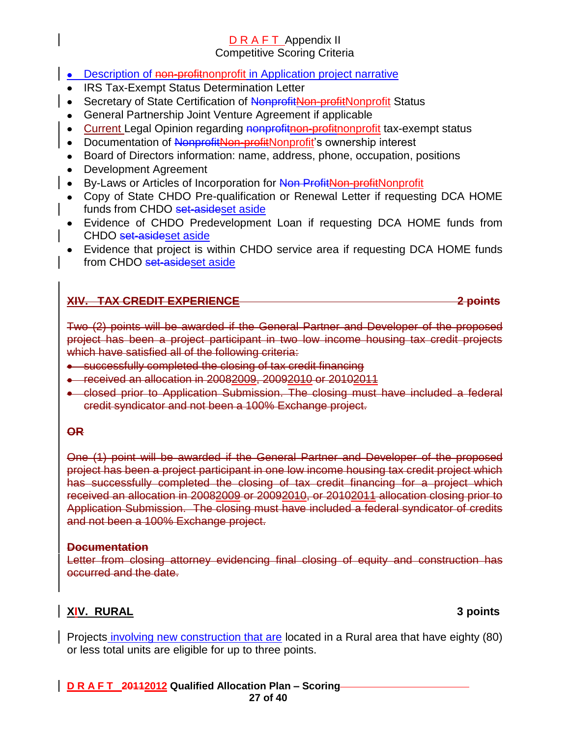- **Description of non-profithonprofit in Application project narrative**
- IRS Tax-Exempt Status Determination Letter
- Secretary of State Certification of NonprofitNon-profitNonprofit Status
- General Partnership Joint Venture Agreement if applicable
- Current Legal Opinion regarding nonprofitnon-profithonprofit tax-exempt status
- Documentation of NonprofitNon-profitNonprofit's ownership interest
- Board of Directors information: name, address, phone, occupation, positions
- Development Agreement
- By-Laws or Articles of Incorporation for Non ProfitNon-profitNonprofit
- Copy of State CHDO Pre-qualification or Renewal Letter if requesting DCA HOME funds from CHDO set-asideset aside
- Evidence of CHDO Predevelopment Loan if requesting DCA HOME funds from CHDO set-asideset aside
- Evidence that project is within CHDO service area if requesting DCA HOME funds from CHDO set-asideset aside

### **XIV. TAX CREDIT EXPERIENCE 2 points**

Two (2) points will be awarded if the General Partner and Developer of the proposed project has been a project participant in two low income housing tax credit projects which have satisfied all of the following criteria:

- successfully completed the closing of tax credit financing
- received an allocation in 20082009, 20092010 or 20102011
- closed prior to Application Submission. The closing must have included a federal credit syndicator and not been a 100% Exchange project.

### **OR**

One (1) point will be awarded if the General Partner and Developer of the proposed project has been a project participant in one low income housing tax credit project which has successfully completed the closing of tax credit financing for a project which received an allocation in 20082009 or 20092010, or 20102011 allocation closing prior to Application Submission. The closing must have included a federal syndicator of credits and not been a 100% Exchange project.

### **Documentation**

Letter from closing attorney evidencing final closing of equity and construction has occurred and the date.

### **XIV. RURAL 3 points**

Projects involving new construction that are located in a Rural area that have eighty (80) or less total units are eligible for up to three points.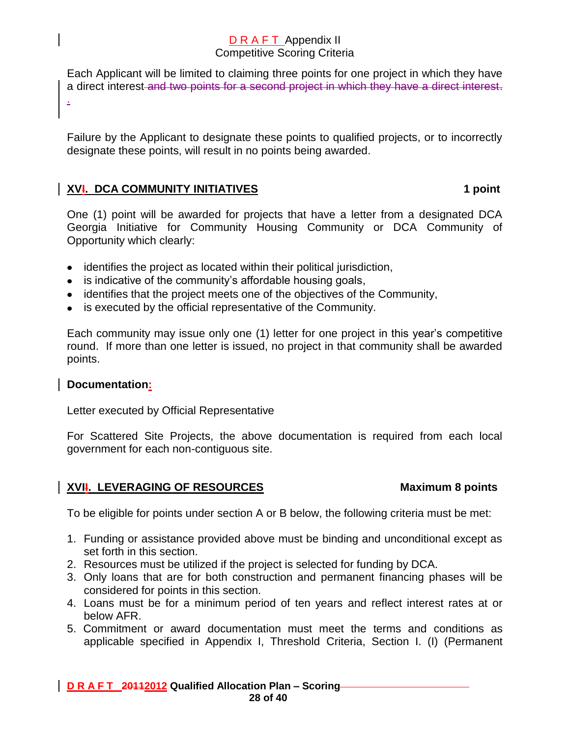Each Applicant will be limited to claiming three points for one project in which they have a direct interest and two points for a second project in which they have a direct interest.

Failure by the Applicant to designate these points to qualified projects, or to incorrectly designate these points, will result in no points being awarded.

### **XVI.** DCA COMMUNITY INITIATIVES 1 **1 1 1 1 1 1 1 1**

One (1) point will be awarded for projects that have a letter from a designated DCA Georgia Initiative for Community Housing Community or DCA Community of Opportunity which clearly:

- identifies the project as located within their political jurisdiction,
- is indicative of the community's affordable housing goals,
- identifies that the project meets one of the objectives of the Community,
- is executed by the official representative of the Community.

Each community may issue only one (1) letter for one project in this year's competitive round. If more than one letter is issued, no project in that community shall be awarded points.

### **Documentation:**

.

Letter executed by Official Representative

For Scattered Site Projects, the above documentation is required from each local government for each non-contiguous site.

# **XVII.** LEVERAGING OF RESOURCES Maximum 8 points

To be eligible for points under section A or B below, the following criteria must be met:

- 1. Funding or assistance provided above must be binding and unconditional except as set forth in this section.
- 2. Resources must be utilized if the project is selected for funding by DCA.
- 3. Only loans that are for both construction and permanent financing phases will be considered for points in this section.
- 4. Loans must be for a minimum period of ten years and reflect interest rates at or below AFR.
- 5. Commitment or award documentation must meet the terms and conditions as applicable specified in Appendix I, Threshold Criteria, Section I. (I) (Permanent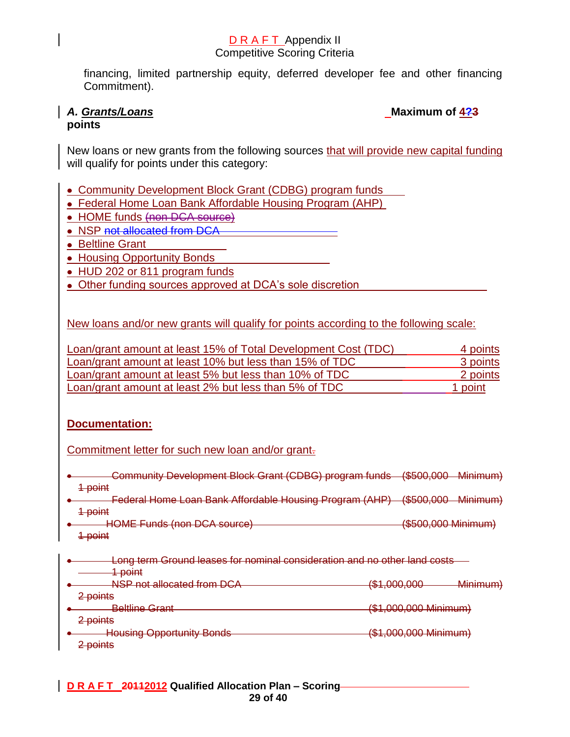financing, limited partnership equity, deferred developer fee and other financing Commitment).

# **points**

A. *Grants/Loans* Maximum of  $\frac{423}{42}$ 

New loans or new grants from the following sources that will provide new capital funding will qualify for points under this category:

- Community Development Block Grant (CDBG) program funds
- Federal Home Loan Bank Affordable Housing Program (AHP)
- HOME funds (non DCA source)
- NSP not allocated from DCA
- Beltline Grant
- Housing Opportunity Bonds
- HUD 202 or 811 program funds
- Other funding sources approved at DCA's sole discretion

New loans and/or new grants will qualify for points according to the following scale:

| Loan/grant amount at least 15% of Total Development Cost (TDC) | 4 points |
|----------------------------------------------------------------|----------|
| Loan/grant amount at least 10% but less than 15% of TDC        | 3 points |
| Loan/grant amount at least 5% but less than 10% of TDC         | 2 points |
| Loan/grant amount at least 2% but less than 5% of TDC          | 1 point  |

### **Documentation:**

Commitment letter for such new loan and/or grant-

Community Development Block Grant (CDBG) program funds (\$500,000 Minimum) 1 point Federal Home Loan Bank Affordable Housing Program (AHP) (\$500,000 Minimum) 1 point HOME Funds (non DCA source) (\$500,000 Minimum) 1 point **Long term Ground leases for nominal consideration and no other land costs** 1 point NSP not allocated from DCA (\$1,000,000 Minimum) 2 points Beltline Grant (\$1,000,000 Minimum) 2 points Housing Opportunity Bonds (\$1,000,000 Minimum) 2 points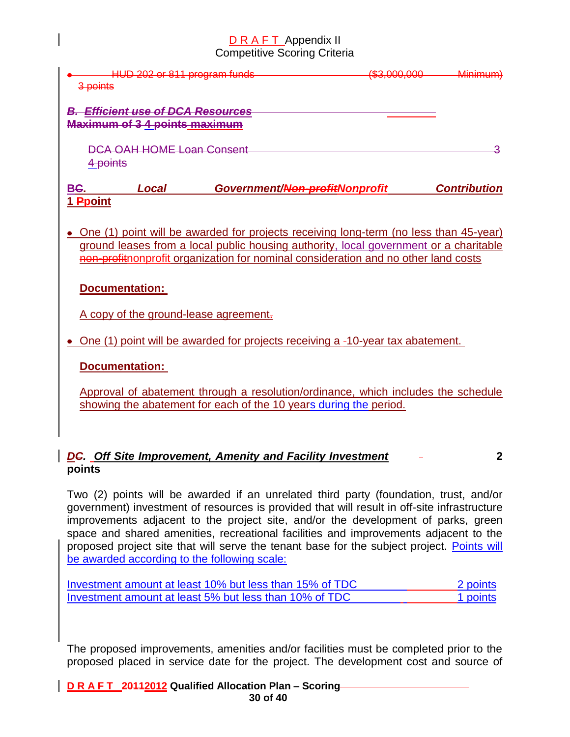| 3 points | HUD 202 or 811 program funds                                                  | חחח חחח דשו<br><del>,,,,,,,,,,</del> | <u>Minimum</u><br><u> шигните</u> |
|----------|-------------------------------------------------------------------------------|--------------------------------------|-----------------------------------|
|          | <b>Efficient use of DCA Resources</b><br><b>Maximum of 3 4 points maximum</b> |                                      |                                   |
|          | <b>DCA OAH HOME Loan Consent</b><br>4 points                                  |                                      |                                   |
| BC.      | Local                                                                         | Government/Non-profitNonprofit       | <b>Contribution</b>               |
| 1 Proint |                                                                               |                                      |                                   |

One (1) point will be awarded for projects receiving long-term (no less than 45-year) ground leases from a local public housing authority, local government or a charitable non-profitnonprofit organization for nominal consideration and no other land costs

# **Documentation:**

A copy of the ground-lease agreement.

• One (1) point will be awarded for projects receiving a -10-year tax abatement.

**Documentation:**

Approval of abatement through a resolution/ordinance, which includes the schedule showing the abatement for each of the 10 years during the period.

### *DC. Off Site Improvement, Amenity and Facility Investment* **2 points**

Two (2) points will be awarded if an unrelated third party (foundation, trust, and/or government) investment of resources is provided that will result in off-site infrastructure improvements adjacent to the project site, and/or the development of parks, green space and shared amenities, recreational facilities and improvements adjacent to the proposed project site that will serve the tenant base for the subject project. Points will be awarded according to the following scale:

| Investment amount at least 10% but less than 15% of TDC | 2 points |
|---------------------------------------------------------|----------|
| Investment amount at least 5% but less than 10% of TDC  | 1 points |

The proposed improvements, amenities and/or facilities must be completed prior to the proposed placed in service date for the project. The development cost and source of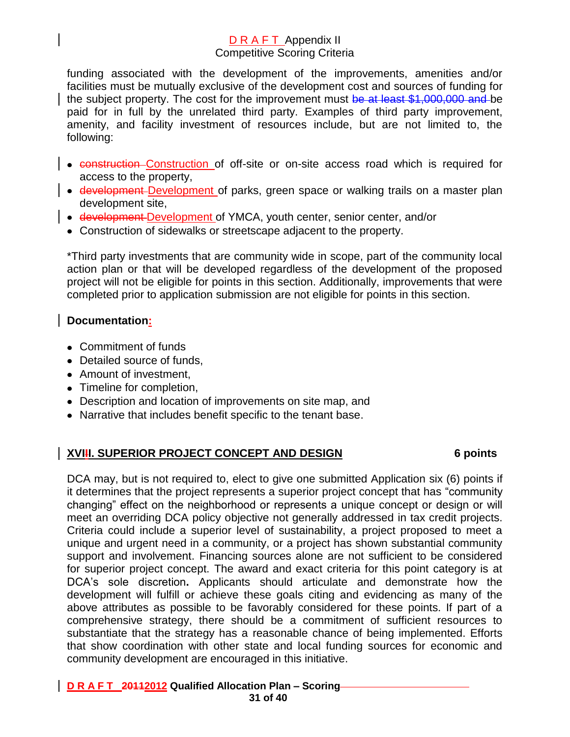funding associated with the development of the improvements, amenities and/or facilities must be mutually exclusive of the development cost and sources of funding for the subject property. The cost for the improvement must be at least \$1,000,000 and be paid for in full by the unrelated third party. Examples of third party improvement, amenity, and facility investment of resources include, but are not limited to, the following:

- construction Construction of off-site or on-site access road which is required for access to the property,
- **development Development** of parks, green space or walking trails on a master plan development site,
- development-Development of YMCA, youth center, senior center, and/or
- Construction of sidewalks or streetscape adjacent to the property.

\*Third party investments that are community wide in scope, part of the community local action plan or that will be developed regardless of the development of the proposed project will not be eligible for points in this section. Additionally, improvements that were completed prior to application submission are not eligible for points in this section.

### **Documentation:**

- Commitment of funds
- Detailed source of funds.
- Amount of investment,
- Timeline for completion,
- Description and location of improvements on site map, and
- Narrative that includes benefit specific to the tenant base.

### **XVIII. SUPERIOR PROJECT CONCEPT AND DESIGN 6 points**

DCA may, but is not required to, elect to give one submitted Application six (6) points if it determines that the project represents a superior project concept that has "community changing" effect on the neighborhood or represents a unique concept or design or will meet an overriding DCA policy objective not generally addressed in tax credit projects. Criteria could include a superior level of sustainability, a project proposed to meet a unique and urgent need in a community, or a project has shown substantial community support and involvement. Financing sources alone are not sufficient to be considered for superior project concept. The award and exact criteria for this point category is at DCA's sole discretion**.** Applicants should articulate and demonstrate how the development will fulfill or achieve these goals citing and evidencing as many of the above attributes as possible to be favorably considered for these points. If part of a comprehensive strategy, there should be a commitment of sufficient resources to substantiate that the strategy has a reasonable chance of being implemented. Efforts that show coordination with other state and local funding sources for economic and community development are encouraged in this initiative.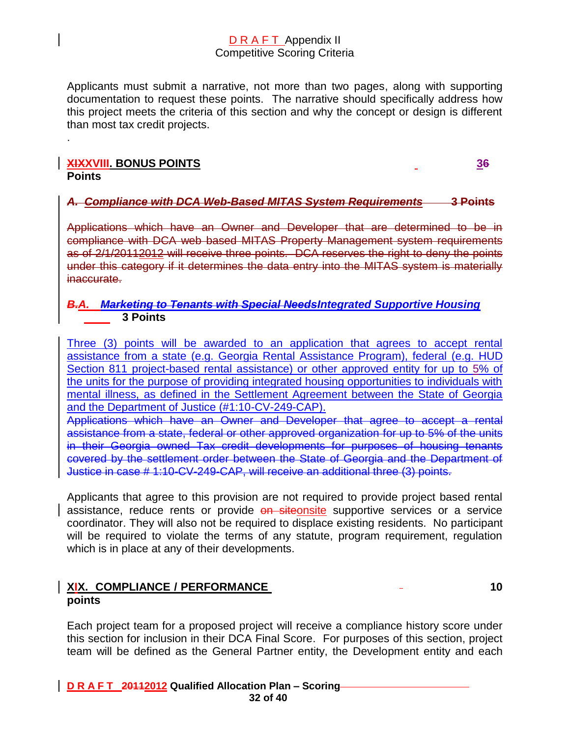Applicants must submit a narrative, not more than two pages, along with supporting documentation to request these points. The narrative should specifically address how this project meets the criteria of this section and why the concept or design is different than most tax credit projects.

### **XIXXVIII. BONUS POINTS 36 Points**

.

*A. Compliance with DCA Web-Based MITAS System Requirements* **3 Points**

Applications which have an Owner and Developer that are determined to be in compliance with DCA web based MITAS Property Management system requirements as of 2/1/20112012 will receive three points. DCA reserves the right to deny the points under this category if it determines the data entry into the MITAS system is materially inaccurate.

### *B.A. Marketing to Tenants with Special NeedsIntegrated Supportive Housing* **3 Points**

Three (3) points will be awarded to an application that agrees to accept rental assistance from a state (e.g. Georgia Rental Assistance Program), federal (e.g. HUD Section 811 project-based rental assistance) or other approved entity for up to 5% of the units for the purpose of providing integrated housing opportunities to individuals with mental illness, as defined in the Settlement Agreement between the State of Georgia and the Department of Justice (#1:10-CV-249-CAP).

Applications which have an Owner and Developer that agree to accept a rental assistance from a state, federal or other approved organization for up to 5% of the units in their Georgia owned Tax credit developments for purposes of housing tenants covered by the settlement order between the State of Georgia and the Department of Justice in case # 1:10-CV-249-CAP, will receive an additional three (3) points.

Applicants that agree to this provision are not required to provide project based rental assistance, reduce rents or provide on siteonsite supportive services or a service coordinator. They will also not be required to displace existing residents. No participant will be required to violate the terms of any statute, program requirement, regulation which is in place at any of their developments.

### **XIX. COMPLIANCE / PERFORMANCE 10 points**

Each project team for a proposed project will receive a compliance history score under this section for inclusion in their DCA Final Score. For purposes of this section, project team will be defined as the General Partner entity, the Development entity and each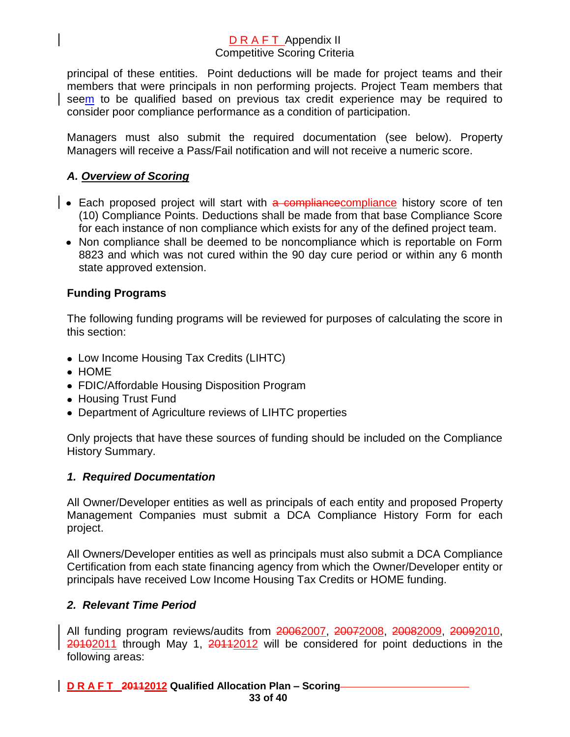principal of these entities. Point deductions will be made for project teams and their members that were principals in non performing projects. Project Team members that seem to be qualified based on previous tax credit experience may be required to consider poor compliance performance as a condition of participation.

Managers must also submit the required documentation (see below). Property Managers will receive a Pass/Fail notification and will not receive a numeric score.

# *A. Overview of Scoring*

- Each proposed project will start with a compliancecompliance history score of ten (10) Compliance Points. Deductions shall be made from that base Compliance Score for each instance of non compliance which exists for any of the defined project team.
- Non compliance shall be deemed to be noncompliance which is reportable on Form 8823 and which was not cured within the 90 day cure period or within any 6 month state approved extension.

### **Funding Programs**

The following funding programs will be reviewed for purposes of calculating the score in this section:

- Low Income Housing Tax Credits (LIHTC)
- HOME
- FDIC/Affordable Housing Disposition Program
- Housing Trust Fund
- Department of Agriculture reviews of LIHTC properties

Only projects that have these sources of funding should be included on the Compliance History Summary.

### *1. Required Documentation*

All Owner/Developer entities as well as principals of each entity and proposed Property Management Companies must submit a DCA Compliance History Form for each project.

All Owners/Developer entities as well as principals must also submit a DCA Compliance Certification from each state financing agency from which the Owner/Developer entity or principals have received Low Income Housing Tax Credits or HOME funding.

### *2. Relevant Time Period*

All funding program reviews/audits from 20062007, 20072008, 20082009, 20092010, 20102011 through May 1, 20112012 will be considered for point deductions in the following areas:

**D R A F T 20112012 Qualified Allocation Plan – Scoring 33 of 40**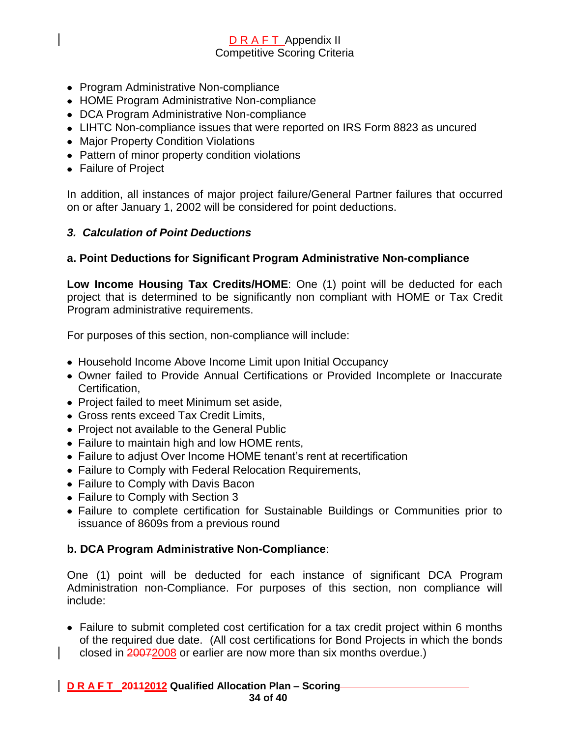- Program Administrative Non-compliance
- HOME Program Administrative Non-compliance
- DCA Program Administrative Non-compliance
- LIHTC Non-compliance issues that were reported on IRS Form 8823 as uncured
- Major Property Condition Violations
- Pattern of minor property condition violations
- Failure of Project

In addition, all instances of major project failure/General Partner failures that occurred on or after January 1, 2002 will be considered for point deductions.

### *3. Calculation of Point Deductions*

### **a. Point Deductions for Significant Program Administrative Non-compliance**

**Low Income Housing Tax Credits/HOME**: One (1) point will be deducted for each project that is determined to be significantly non compliant with HOME or Tax Credit Program administrative requirements.

For purposes of this section, non-compliance will include:

- Household Income Above Income Limit upon Initial Occupancy
- Owner failed to Provide Annual Certifications or Provided Incomplete or Inaccurate Certification,
- Project failed to meet Minimum set aside,
- Gross rents exceed Tax Credit Limits,
- Project not available to the General Public
- Failure to maintain high and low HOME rents,
- Failure to adjust Over Income HOME tenant's rent at recertification
- Failure to Comply with Federal Relocation Requirements,
- Failure to Comply with Davis Bacon
- Failure to Comply with Section 3
- Failure to complete certification for Sustainable Buildings or Communities prior to issuance of 8609s from a previous round

### **b. DCA Program Administrative Non-Compliance**:

One (1) point will be deducted for each instance of significant DCA Program Administration non-Compliance. For purposes of this section, non compliance will include:

Failure to submit completed cost certification for a tax credit project within 6 months of the required due date. (All cost certifications for Bond Projects in which the bonds closed in 20072008 or earlier are now more than six months overdue.)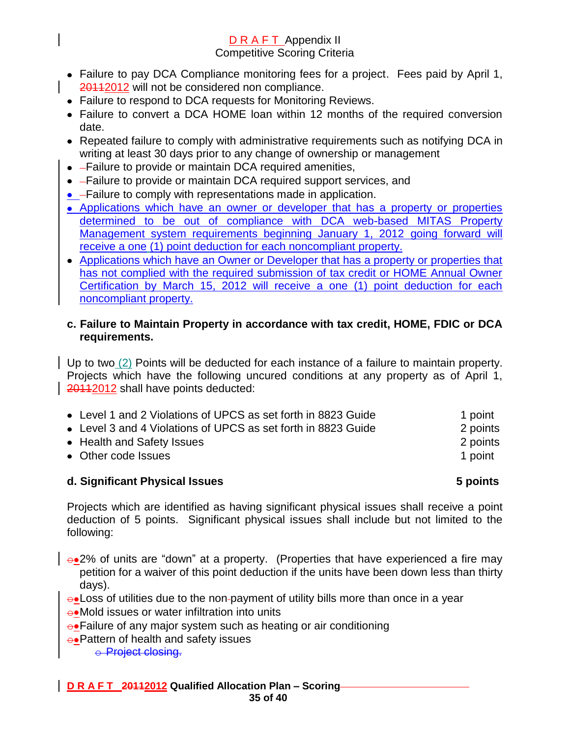- Failure to pay DCA Compliance monitoring fees for a project. Fees paid by April 1, 20112012 will not be considered non compliance.
- Failure to respond to DCA requests for Monitoring Reviews.
- Failure to convert a DCA HOME loan within 12 months of the required conversion date.
- Repeated failure to comply with administrative requirements such as notifying DCA in writing at least 30 days prior to any change of ownership or management
- - Failure to provide or maintain DCA required amenities,
- - Failure to provide or maintain DCA required support services, and
- **•** -Failure to comply with representations made in application.
- Applications which have an owner or developer that has a property or properties determined to be out of compliance with DCA web-based MITAS Property Management system requirements beginning January 1, 2012 going forward will receive a one (1) point deduction for each noncompliant property.
- Applications which have an Owner or Developer that has a property or properties that has not complied with the required submission of tax credit or HOME Annual Owner Certification by March 15, 2012 will receive a one (1) point deduction for each noncompliant property.

### **c. Failure to Maintain Property in accordance with tax credit, HOME, FDIC or DCA requirements.**

Up to two (2) Points will be deducted for each instance of a failure to maintain property. Projects which have the following uncured conditions at any property as of April 1, 20112012 shall have points deducted:

| • Level 1 and 2 Violations of UPCS as set forth in 8823 Guide | 1 point  |
|---------------------------------------------------------------|----------|
| • Level 3 and 4 Violations of UPCS as set forth in 8823 Guide | 2 points |
| • Health and Safety Issues                                    | 2 points |
| • Other code Issues                                           | 1 point  |
|                                                               |          |

### **d. Significant Physical Issues 5 points**

Projects which are identified as having significant physical issues shall receive a point deduction of 5 points. Significant physical issues shall include but not limited to the following:

- $\rightarrow$  2% of units are "down" at a property. (Properties that have experienced a fire may petition for a waiver of this point deduction if the units have been down less than thirty days).
- $\rightarrow$  Loss of utilities due to the non-payment of utility bills more than once in a year
- $\rightarrow$ Mold issues or water infiltration into units
- $\rightarrow$ Failure of any major system such as heating or air conditioning
- $\rightarrow$ Pattern of health and safety issues

o Project closing.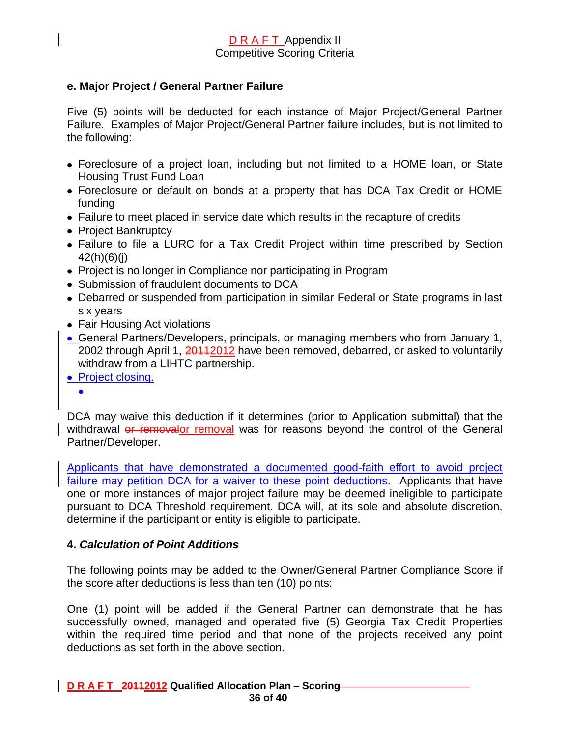### **e. Major Project / General Partner Failure**

Five (5) points will be deducted for each instance of Major Project/General Partner Failure. Examples of Major Project/General Partner failure includes, but is not limited to the following:

- Foreclosure of a project loan, including but not limited to a HOME loan, or State Housing Trust Fund Loan
- Foreclosure or default on bonds at a property that has DCA Tax Credit or HOME funding
- Failure to meet placed in service date which results in the recapture of credits
- Project Bankruptcy
- Failure to file a LURC for a Tax Credit Project within time prescribed by Section 42(h)(6)(j)
- Project is no longer in Compliance nor participating in Program
- Submission of fraudulent documents to DCA
- Debarred or suspended from participation in similar Federal or State programs in last six years
- Fair Housing Act violations
- General Partners/Developers, principals, or managing members who from January 1, 2002 through April 1, 20112012 have been removed, debarred, or asked to voluntarily withdraw from a LIHTC partnership.
- Project closing.
	- $\bullet$

DCA may waive this deduction if it determines (prior to Application submittal) that the withdrawal or removalor removal was for reasons beyond the control of the General Partner/Developer.

Applicants that have demonstrated a documented good-faith effort to avoid project failure may petition DCA for a waiver to these point deductions. Applicants that have one or more instances of major project failure may be deemed ineligible to participate pursuant to DCA Threshold requirement. DCA will, at its sole and absolute discretion, determine if the participant or entity is eligible to participate.

### **4.** *Calculation of Point Additions*

The following points may be added to the Owner/General Partner Compliance Score if the score after deductions is less than ten (10) points:

One (1) point will be added if the General Partner can demonstrate that he has successfully owned, managed and operated five (5) Georgia Tax Credit Properties within the required time period and that none of the projects received any point deductions as set forth in the above section.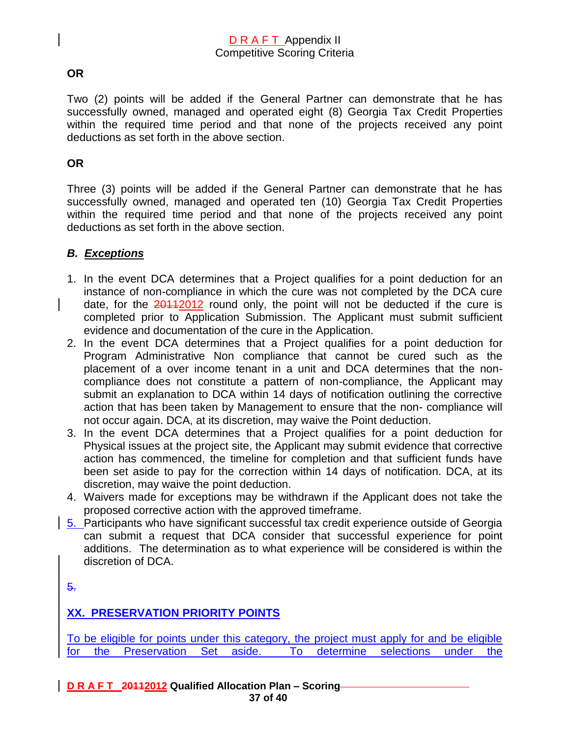### **OR**

Two (2) points will be added if the General Partner can demonstrate that he has successfully owned, managed and operated eight (8) Georgia Tax Credit Properties within the required time period and that none of the projects received any point deductions as set forth in the above section.

### **OR**

Three (3) points will be added if the General Partner can demonstrate that he has successfully owned, managed and operated ten (10) Georgia Tax Credit Properties within the required time period and that none of the projects received any point deductions as set forth in the above section.

# *B. Exceptions*

- 1. In the event DCA determines that a Project qualifies for a point deduction for an instance of non-compliance in which the cure was not completed by the DCA cure date, for the  $20112$  round only, the point will not be deducted if the cure is completed prior to Application Submission. The Applicant must submit sufficient evidence and documentation of the cure in the Application.
- 2. In the event DCA determines that a Project qualifies for a point deduction for Program Administrative Non compliance that cannot be cured such as the placement of a over income tenant in a unit and DCA determines that the noncompliance does not constitute a pattern of non-compliance, the Applicant may submit an explanation to DCA within 14 days of notification outlining the corrective action that has been taken by Management to ensure that the non- compliance will not occur again. DCA, at its discretion, may waive the Point deduction.
- 3. In the event DCA determines that a Project qualifies for a point deduction for Physical issues at the project site, the Applicant may submit evidence that corrective action has commenced, the timeline for completion and that sufficient funds have been set aside to pay for the correction within 14 days of notification. DCA, at its discretion, may waive the point deduction.
- 4. Waivers made for exceptions may be withdrawn if the Applicant does not take the proposed corrective action with the approved timeframe.
- 5. Participants who have significant successful tax credit experience outside of Georgia can submit a request that DCA consider that successful experience for point additions. The determination as to what experience will be considered is within the discretion of DCA.

5.

# **XX. PRESERVATION PRIORITY POINTS**

To be eligible for points under this category, the project must apply for and be eligible for the Preservation Set aside. To determine selections under the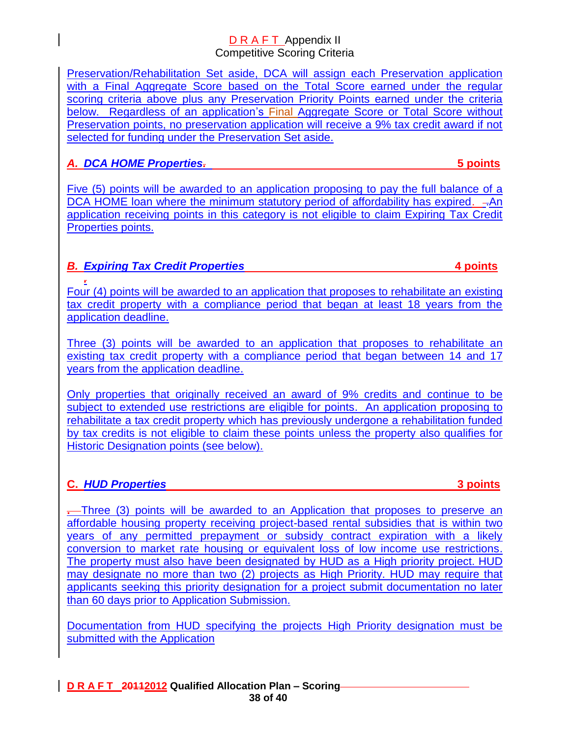Preservation/Rehabilitation Set aside, DCA will assign each Preservation application with a Final Aggregate Score based on the Total Score earned under the regular scoring criteria above plus any Preservation Priority Points earned under the criteria below. Regardless of an application's Final Aggregate Score or Total Score without Preservation points, no preservation application will receive a 9% tax credit award if not selected for funding under the Preservation Set aside.

# *A. DCA HOME Properties.* **5 points**

Five (5) points will be awarded to an application proposing to pay the full balance of a DCA HOME loan where the minimum statutory period of affordability has expired.  $-An$ application receiving points in this category is not eligible to claim Expiring Tax Credit Properties points.

# *B. Expiring Tax Credit Properties* **4 points**

*.*  Four (4) points will be awarded to an application that proposes to rehabilitate an existing tax credit property with a compliance period that began at least 18 years from the application deadline.

Three (3) points will be awarded to an application that proposes to rehabilitate an existing tax credit property with a compliance period that began between 14 and 17 years from the application deadline.

Only properties that originally received an award of 9% credits and continue to be subject to extended use restrictions are eligible for points. An application proposing to rehabilitate a tax credit property which has previously undergone a rehabilitation funded by tax credits is not eligible to claim these points unless the property also qualifies for Historic Designation points (see below).

# **C.** *HUD Properties* **3 points**

**.** Three (3) points will be awarded to an Application that proposes to preserve an affordable housing property receiving project-based rental subsidies that is within two years of any permitted prepayment or subsidy contract expiration with a likely conversion to market rate housing or equivalent loss of low income use restrictions. The property must also have been designated by HUD as a High priority project. HUD may designate no more than two (2) projects as High Priority. HUD may require that applicants seeking this priority designation for a project submit documentation no later than 60 days prior to Application Submission.

Documentation from HUD specifying the projects High Priority designation must be submitted with the Application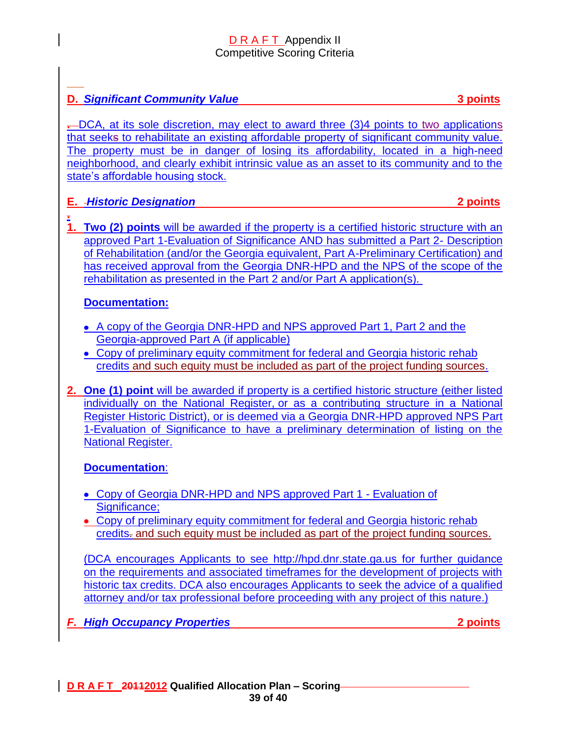# **D.** *Significant Community Value* **3 points**

**.** DCA, at its sole discretion, may elect to award three (3)4 points to two applications that seeks to rehabilitate an existing affordable property of significant community value. The property must be in danger of losing its affordability, located in a high-need neighborhood, and clearly exhibit intrinsic value as an asset to its community and to the state's affordable housing stock.

### **E.** *Historic Designation* **2 points**

**.** 

**1. Two (2) points** will be awarded if the property is a certified historic structure with an approved Part 1-Evaluation of Significance AND has submitted a Part 2- Description of Rehabilitation (and/or the Georgia equivalent, Part A-Preliminary Certification) and has received approval from the Georgia DNR-HPD and the NPS of the scope of the rehabilitation as presented in the Part 2 and/or Part A application(s).

### **Documentation:**

- A copy of the Georgia DNR-HPD and NPS approved Part 1, Part 2 and the Georgia-approved Part A (if applicable)
- Copy of preliminary equity commitment for federal and Georgia historic rehab credits and such equity must be included as part of the project funding sources.
- **2. One (1) point** will be awarded if property is a certified historic structure (either listed individually on the National Register, or as a contributing structure in a National Register Historic District), or is deemed via a Georgia DNR-HPD approved NPS Part 1-Evaluation of Significance to have a preliminary determination of listing on the National Register.

# **Documentation**:

- Copy of Georgia DNR-HPD and NPS approved Part 1 Evaluation of Significance:
- Copy of preliminary equity commitment for federal and Georgia historic rehab credits. and such equity must be included as part of the project funding sources.

(DCA encourages Applicants to see [http://hpd.dnr.state.ga.us](http://hpd.dnr.state.ga.us/) for further guidance on the requirements and associated timeframes for the development of projects with historic tax credits. DCA also encourages Applicants to seek the advice of a qualified attorney and/or tax professional before proceeding with any project of this nature.)

*F. High Occupancy Properties* **2 points**